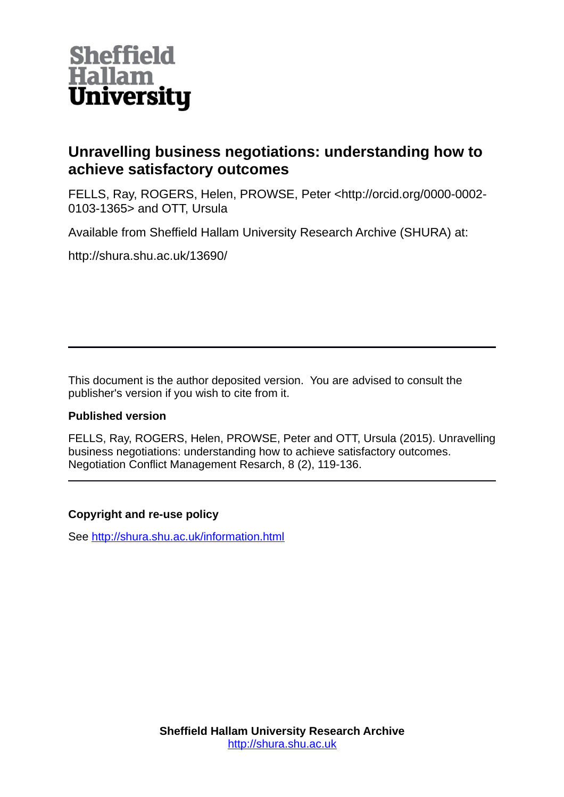

# **Unravelling business negotiations: understanding how to achieve satisfactory outcomes**

FELLS, Ray, ROGERS, Helen, PROWSE, Peter <http://orcid.org/0000-0002- 0103-1365> and OTT, Ursula

Available from Sheffield Hallam University Research Archive (SHURA) at:

http://shura.shu.ac.uk/13690/

This document is the author deposited version. You are advised to consult the publisher's version if you wish to cite from it.

## **Published version**

FELLS, Ray, ROGERS, Helen, PROWSE, Peter and OTT, Ursula (2015). Unravelling business negotiations: understanding how to achieve satisfactory outcomes. Negotiation Conflict Management Resarch, 8 (2), 119-136.

## **Copyright and re-use policy**

See<http://shura.shu.ac.uk/information.html>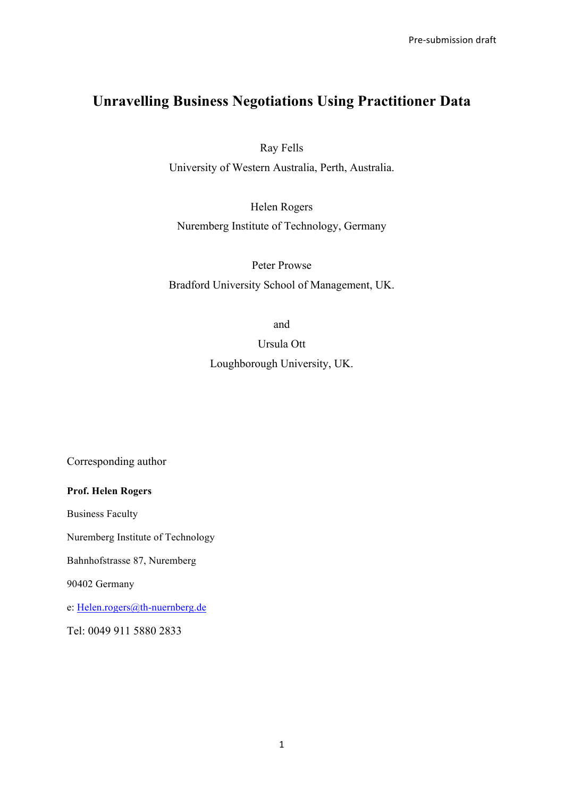# **Unravelling Business Negotiations Using Practitioner Data**

Ray Fells

University of Western Australia, Perth, Australia.

Helen Rogers Nuremberg Institute of Technology, Germany

Peter Prowse Bradford University School of Management, UK.

and

Ursula Ott Loughborough University, UK.

Corresponding author

**Prof. Helen Rogers**

Business Faculty

Nuremberg Institute of Technology

Bahnhofstrasse 87, Nuremberg

90402 Germany

e: Helen.rogers@th-nuernberg.de

Tel: 0049 911 5880 2833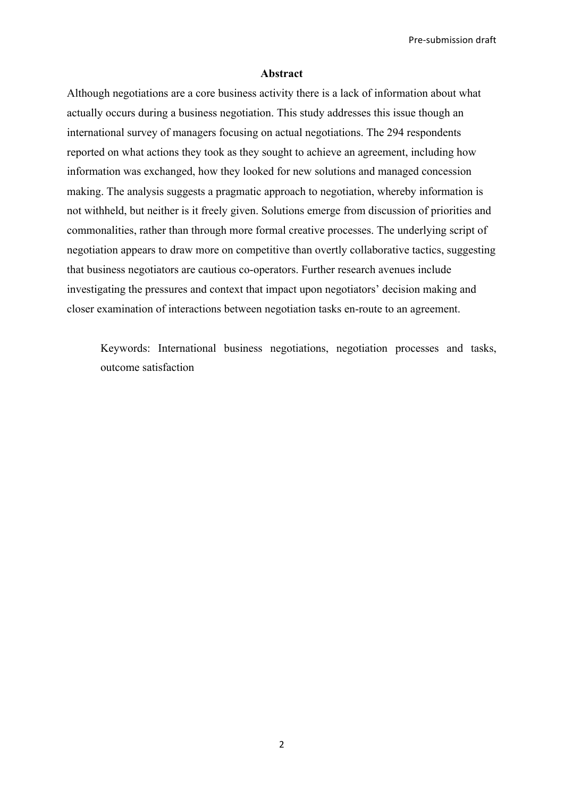#### **Abstract**

Although negotiations are a core business activity there is a lack of information about what actually occurs during a business negotiation. This study addresses this issue though an international survey of managers focusing on actual negotiations. The 294 respondents reported on what actions they took as they sought to achieve an agreement, including how information was exchanged, how they looked for new solutions and managed concession making. The analysis suggests a pragmatic approach to negotiation, whereby information is not withheld, but neither is it freely given. Solutions emerge from discussion of priorities and commonalities, rather than through more formal creative processes. The underlying script of negotiation appears to draw more on competitive than overtly collaborative tactics, suggesting that business negotiators are cautious co-operators. Further research avenues include investigating the pressures and context that impact upon negotiators' decision making and closer examination of interactions between negotiation tasks en-route to an agreement.

Keywords: International business negotiations, negotiation processes and tasks, outcome satisfaction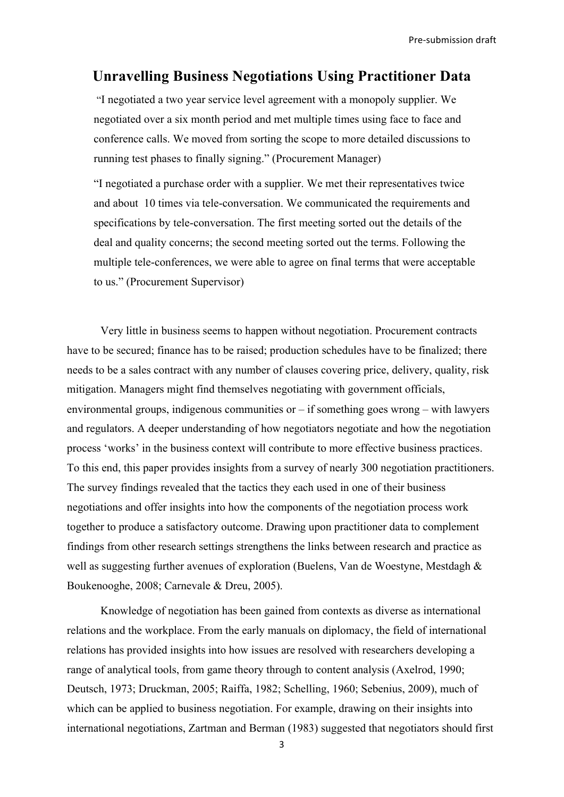# **Unravelling Business Negotiations Using Practitioner Data**

"I negotiated a two year service level agreement with a monopoly supplier. We negotiated over a six month period and met multiple times using face to face and conference calls. We moved from sorting the scope to more detailed discussions to running test phases to finally signing." (Procurement Manager)

"I negotiated a purchase order with a supplier. We met their representatives twice and about 10 times via tele-conversation. We communicated the requirements and specifications by tele-conversation. The first meeting sorted out the details of the deal and quality concerns; the second meeting sorted out the terms. Following the multiple tele-conferences, we were able to agree on final terms that were acceptable to us." (Procurement Supervisor)

Very little in business seems to happen without negotiation. Procurement contracts have to be secured; finance has to be raised; production schedules have to be finalized; there needs to be a sales contract with any number of clauses covering price, delivery, quality, risk mitigation. Managers might find themselves negotiating with government officials, environmental groups, indigenous communities or – if something goes wrong – with lawyers and regulators. A deeper understanding of how negotiators negotiate and how the negotiation process 'works' in the business context will contribute to more effective business practices. To this end, this paper provides insights from a survey of nearly 300 negotiation practitioners. The survey findings revealed that the tactics they each used in one of their business negotiations and offer insights into how the components of the negotiation process work together to produce a satisfactory outcome. Drawing upon practitioner data to complement findings from other research settings strengthens the links between research and practice as well as suggesting further avenues of exploration (Buelens, Van de Woestyne, Mestdagh & Boukenooghe, 2008; Carnevale & Dreu, 2005).

Knowledge of negotiation has been gained from contexts as diverse as international relations and the workplace. From the early manuals on diplomacy, the field of international relations has provided insights into how issues are resolved with researchers developing a range of analytical tools, from game theory through to content analysis (Axelrod, 1990; Deutsch, 1973; Druckman, 2005; Raiffa, 1982; Schelling, 1960; Sebenius, 2009), much of which can be applied to business negotiation. For example, drawing on their insights into international negotiations, Zartman and Berman (1983) suggested that negotiators should first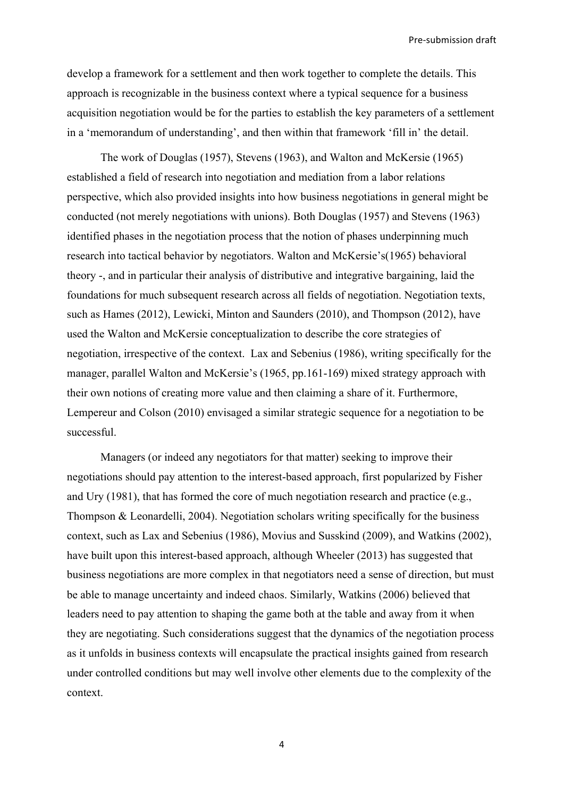develop a framework for a settlement and then work together to complete the details. This approach is recognizable in the business context where a typical sequence for a business acquisition negotiation would be for the parties to establish the key parameters of a settlement in a 'memorandum of understanding', and then within that framework 'fill in' the detail.

The work of Douglas (1957), Stevens (1963), and Walton and McKersie (1965) established a field of research into negotiation and mediation from a labor relations perspective, which also provided insights into how business negotiations in general might be conducted (not merely negotiations with unions). Both Douglas (1957) and Stevens (1963) identified phases in the negotiation process that the notion of phases underpinning much research into tactical behavior by negotiators. Walton and McKersie's(1965) behavioral theory -, and in particular their analysis of distributive and integrative bargaining, laid the foundations for much subsequent research across all fields of negotiation. Negotiation texts, such as Hames (2012), Lewicki, Minton and Saunders (2010), and Thompson (2012), have used the Walton and McKersie conceptualization to describe the core strategies of negotiation, irrespective of the context. Lax and Sebenius (1986), writing specifically for the manager, parallel Walton and McKersie's (1965, pp.161-169) mixed strategy approach with their own notions of creating more value and then claiming a share of it. Furthermore, Lempereur and Colson (2010) envisaged a similar strategic sequence for a negotiation to be successful.

Managers (or indeed any negotiators for that matter) seeking to improve their negotiations should pay attention to the interest-based approach, first popularized by Fisher and Ury (1981), that has formed the core of much negotiation research and practice (e.g., Thompson & Leonardelli, 2004). Negotiation scholars writing specifically for the business context, such as Lax and Sebenius (1986), Movius and Susskind (2009), and Watkins (2002), have built upon this interest-based approach, although Wheeler (2013) has suggested that business negotiations are more complex in that negotiators need a sense of direction, but must be able to manage uncertainty and indeed chaos. Similarly, Watkins (2006) believed that leaders need to pay attention to shaping the game both at the table and away from it when they are negotiating. Such considerations suggest that the dynamics of the negotiation process as it unfolds in business contexts will encapsulate the practical insights gained from research under controlled conditions but may well involve other elements due to the complexity of the context.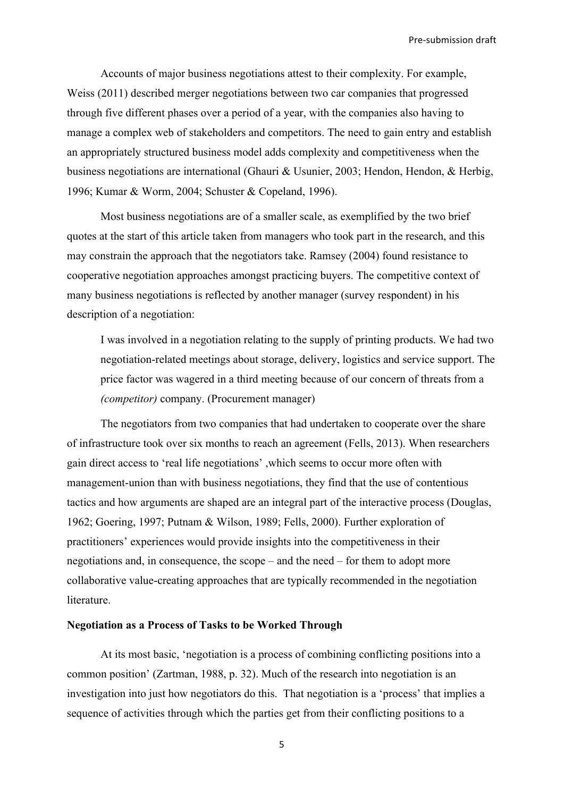Accounts of major business negotiations attest to their complexity. For example, Weiss (2011) described merger negotiations between two car companies that progressed through five different phases over a period of a year, with the companies also having to manage a complex web of stakeholders and competitors. The need to gain entry and establish an appropriately structured business model adds complexity and competitiveness when the business negotiations are international (Ghauri & Usunier, 2003; Hendon, Hendon, & Herbig, 1996; Kumar & Worm, 2004; Schuster & Copeland, 1996).

Most business negotiations are of a smaller scale, as exemplified by the two brief quotes at the start of this article taken from managers who took part in the research, and this may constrain the approach that the negotiators take. Ramsey (2004) found resistance to cooperative negotiation approaches amongst practicing buyers. The competitive context of many business negotiations is reflected by another manager (survey respondent) in his description of a negotiation:

I was involved in a negotiation relating to the supply of printing products. We had two negotiation-related meetings about storage, delivery, logistics and service support. The price factor was wagered in a third meeting because of our concern of threats from a *(competitor)* company. (Procurement manager)

The negotiators from two companies that had undertaken to cooperate over the share of infrastructure took over six months to reach an agreement (Fells, 2013). When researchers gain direct access to 'real life negotiations' ,which seems to occur more often with management-union than with business negotiations, they find that the use of contentious tactics and how arguments are shaped are an integral part of the interactive process (Douglas, 1962; Goering, 1997; Putnam & Wilson, 1989; Fells, 2000). Further exploration of practitioners' experiences would provide insights into the competitiveness in their negotiations and, in consequence, the scope – and the need – for them to adopt more collaborative value-creating approaches that are typically recommended in the negotiation literature.

#### **Negotiation as a Process of Tasks to be Worked Through**

At its most basic, 'negotiation is a process of combining conflicting positions into a common position' (Zartman, 1988, p. 32). Much of the research into negotiation is an investigation into just how negotiators do this. That negotiation is a 'process' that implies a sequence of activities through which the parties get from their conflicting positions to a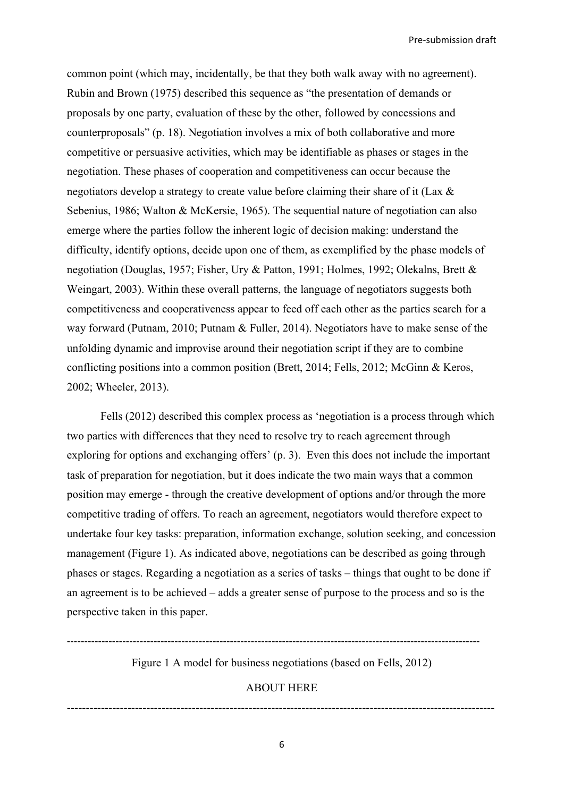common point (which may, incidentally, be that they both walk away with no agreement). Rubin and Brown (1975) described this sequence as "the presentation of demands or proposals by one party, evaluation of these by the other, followed by concessions and counterproposals" (p. 18). Negotiation involves a mix of both collaborative and more competitive or persuasive activities, which may be identifiable as phases or stages in the negotiation. These phases of cooperation and competitiveness can occur because the negotiators develop a strategy to create value before claiming their share of it (Lax & Sebenius, 1986; Walton & McKersie, 1965). The sequential nature of negotiation can also emerge where the parties follow the inherent logic of decision making: understand the difficulty, identify options, decide upon one of them, as exemplified by the phase models of negotiation (Douglas, 1957; Fisher, Ury & Patton, 1991; Holmes, 1992; Olekalns, Brett & Weingart, 2003). Within these overall patterns, the language of negotiators suggests both competitiveness and cooperativeness appear to feed off each other as the parties search for a way forward (Putnam, 2010; Putnam & Fuller, 2014). Negotiators have to make sense of the unfolding dynamic and improvise around their negotiation script if they are to combine conflicting positions into a common position (Brett, 2014; Fells, 2012; McGinn & Keros, 2002; Wheeler, 2013).

Fells (2012) described this complex process as 'negotiation is a process through which two parties with differences that they need to resolve try to reach agreement through exploring for options and exchanging offers' (p. 3). Even this does not include the important task of preparation for negotiation, but it does indicate the two main ways that a common position may emerge - through the creative development of options and/or through the more competitive trading of offers. To reach an agreement, negotiators would therefore expect to undertake four key tasks: preparation, information exchange, solution seeking, and concession management (Figure 1). As indicated above, negotiations can be described as going through phases or stages. Regarding a negotiation as a series of tasks – things that ought to be done if an agreement is to be achieved – adds a greater sense of purpose to the process and so is the perspective taken in this paper.

Figure 1 A model for business negotiations (based on Fells, 2012)

-----------------------------------------------------------------------------------------------------------------------

#### ABOUT HERE

-----------------------------------------------------------------------------------------------------------------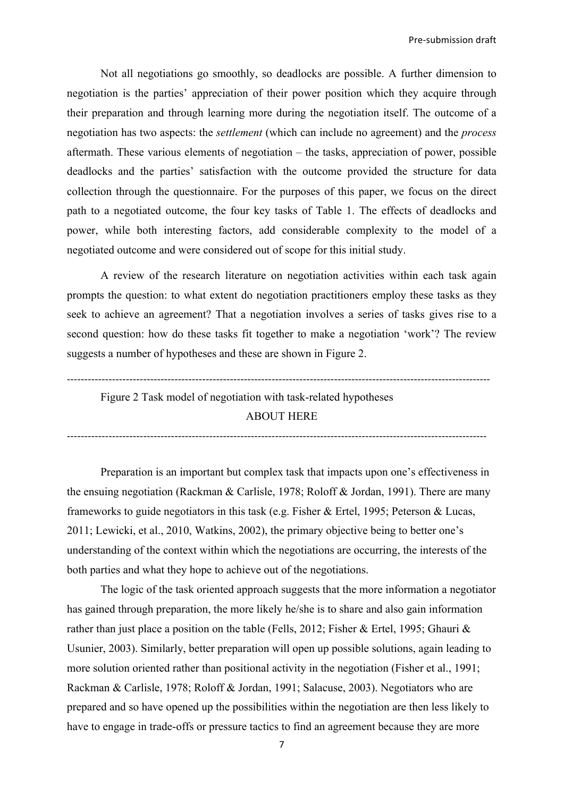Not all negotiations go smoothly, so deadlocks are possible. A further dimension to negotiation is the parties' appreciation of their power position which they acquire through their preparation and through learning more during the negotiation itself. The outcome of a negotiation has two aspects: the *settlement* (which can include no agreement) and the *process* aftermath. These various elements of negotiation – the tasks, appreciation of power, possible deadlocks and the parties' satisfaction with the outcome provided the structure for data collection through the questionnaire. For the purposes of this paper, we focus on the direct path to a negotiated outcome, the four key tasks of Table 1. The effects of deadlocks and power, while both interesting factors, add considerable complexity to the model of a negotiated outcome and were considered out of scope for this initial study.

A review of the research literature on negotiation activities within each task again prompts the question: to what extent do negotiation practitioners employ these tasks as they seek to achieve an agreement? That a negotiation involves a series of tasks gives rise to a second question: how do these tasks fit together to make a negotiation 'work'? The review suggests a number of hypotheses and these are shown in Figure 2.

--------------------------------------------------------------------------------------------------------------------------

Figure 2 Task model of negotiation with task-related hypotheses

#### ABOUT HERE

-------------------------------------------------------------------------------------------------------------------------

Preparation is an important but complex task that impacts upon one's effectiveness in the ensuing negotiation (Rackman & Carlisle, 1978; Roloff & Jordan, 1991). There are many frameworks to guide negotiators in this task (e.g. Fisher & Ertel, 1995; Peterson & Lucas, 2011; Lewicki, et al., 2010, Watkins, 2002), the primary objective being to better one's understanding of the context within which the negotiations are occurring, the interests of the both parties and what they hope to achieve out of the negotiations.

The logic of the task oriented approach suggests that the more information a negotiator has gained through preparation, the more likely he/she is to share and also gain information rather than just place a position on the table (Fells, 2012; Fisher & Ertel, 1995; Ghauri & Usunier, 2003). Similarly, better preparation will open up possible solutions, again leading to more solution oriented rather than positional activity in the negotiation (Fisher et al., 1991; Rackman & Carlisle, 1978; Roloff & Jordan, 1991; Salacuse, 2003). Negotiators who are prepared and so have opened up the possibilities within the negotiation are then less likely to have to engage in trade-offs or pressure tactics to find an agreement because they are more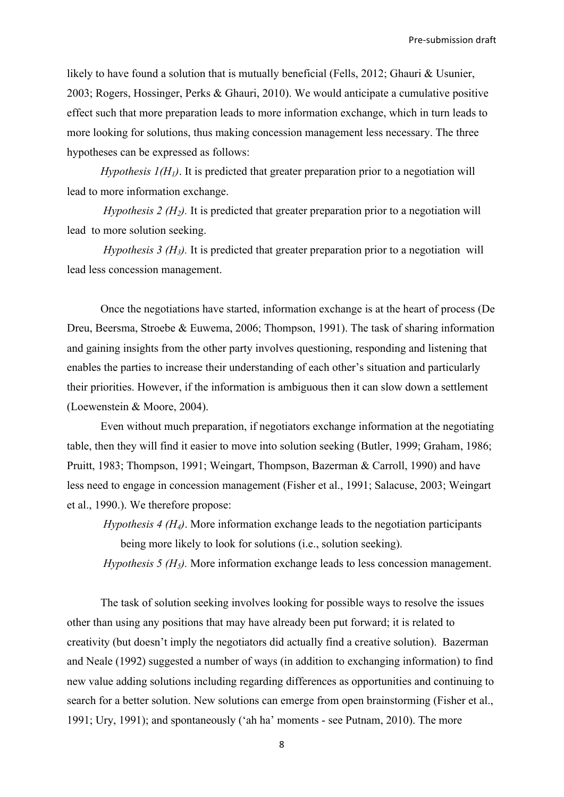likely to have found a solution that is mutually beneficial (Fells, 2012; Ghauri & Usunier, 2003; Rogers, Hossinger, Perks & Ghauri, 2010). We would anticipate a cumulative positive effect such that more preparation leads to more information exchange, which in turn leads to more looking for solutions, thus making concession management less necessary. The three hypotheses can be expressed as follows:

*Hypothesis*  $I(H_1)$ *.* It is predicted that greater preparation prior to a negotiation will lead to more information exchange.

*Hypothesis 2 (H<sub>2</sub>)*. It is predicted that greater preparation prior to a negotiation will lead to more solution seeking.

*Hypothesis 3 (H<sub>3</sub>)*. It is predicted that greater preparation prior to a negotiation will lead less concession management.

Once the negotiations have started, information exchange is at the heart of process (De Dreu, Beersma, Stroebe & Euwema, 2006; Thompson, 1991). The task of sharing information and gaining insights from the other party involves questioning, responding and listening that enables the parties to increase their understanding of each other's situation and particularly their priorities. However, if the information is ambiguous then it can slow down a settlement (Loewenstein & Moore, 2004).

Even without much preparation, if negotiators exchange information at the negotiating table, then they will find it easier to move into solution seeking (Butler, 1999; Graham, 1986; Pruitt, 1983; Thompson, 1991; Weingart, Thompson, Bazerman & Carroll, 1990) and have less need to engage in concession management (Fisher et al., 1991; Salacuse, 2003; Weingart et al., 1990.). We therefore propose:

*Hypothesis 4 (H4)*. More information exchange leads to the negotiation participants being more likely to look for solutions (i.e., solution seeking).

*Hypothesis 5 (H<sub>5</sub>)*. More information exchange leads to less concession management.

The task of solution seeking involves looking for possible ways to resolve the issues other than using any positions that may have already been put forward; it is related to creativity (but doesn't imply the negotiators did actually find a creative solution). Bazerman and Neale (1992) suggested a number of ways (in addition to exchanging information) to find new value adding solutions including regarding differences as opportunities and continuing to search for a better solution. New solutions can emerge from open brainstorming (Fisher et al., 1991; Ury, 1991); and spontaneously ('ah ha' moments - see Putnam, 2010). The more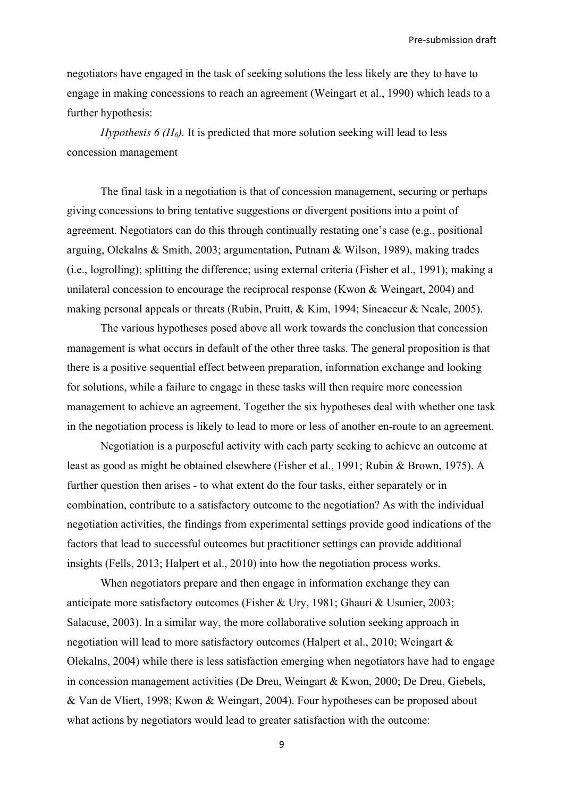negotiators have engaged in the task of seeking solutions the less likely are they to have to engage in making concessions to reach an agreement (Weingart et al., 1990) which leads to a further hypothesis:

*Hypothesis 6 (H<sub>6</sub>)*. It is predicted that more solution seeking will lead to less concession management

The final task in a negotiation is that of concession management, securing or perhaps giving concessions to bring tentative suggestions or divergent positions into a point of agreement. Negotiators can do this through continually restating one's case (e.g., positional arguing, Olekalns & Smith, 2003; argumentation, Putnam & Wilson, 1989), making trades (i.e., logrolling); splitting the difference; using external criteria (Fisher et al., 1991); making a unilateral concession to encourage the reciprocal response (Kwon & Weingart, 2004) and making personal appeals or threats (Rubin, Pruitt, & Kim, 1994; Sineaceur & Neale, 2005).

The various hypotheses posed above all work towards the conclusion that concession management is what occurs in default of the other three tasks. The general proposition is that there is a positive sequential effect between preparation, information exchange and looking for solutions, while a failure to engage in these tasks will then require more concession management to achieve an agreement. Together the six hypotheses deal with whether one task in the negotiation process is likely to lead to more or less of another en-route to an agreement.

Negotiation is a purposeful activity with each party seeking to achieve an outcome at least as good as might be obtained elsewhere (Fisher et al., 1991; Rubin & Brown, 1975). A further question then arises - to what extent do the four tasks, either separately or in combination, contribute to a satisfactory outcome to the negotiation? As with the individual negotiation activities, the findings from experimental settings provide good indications of the factors that lead to successful outcomes but practitioner settings can provide additional insights (Fells, 2013; Halpert et al., 2010) into how the negotiation process works.

When negotiators prepare and then engage in information exchange they can anticipate more satisfactory outcomes (Fisher & Ury, 1981; Ghauri & Usunier, 2003; Salacuse, 2003). In a similar way, the more collaborative solution seeking approach in negotiation will lead to more satisfactory outcomes (Halpert et al., 2010; Weingart & Olekalns, 2004) while there is less satisfaction emerging when negotiators have had to engage in concession management activities (De Dreu, Weingart & Kwon, 2000; De Dreu, Giebels, & Van de Vliert, 1998; Kwon & Weingart, 2004). Four hypotheses can be proposed about what actions by negotiators would lead to greater satisfaction with the outcome: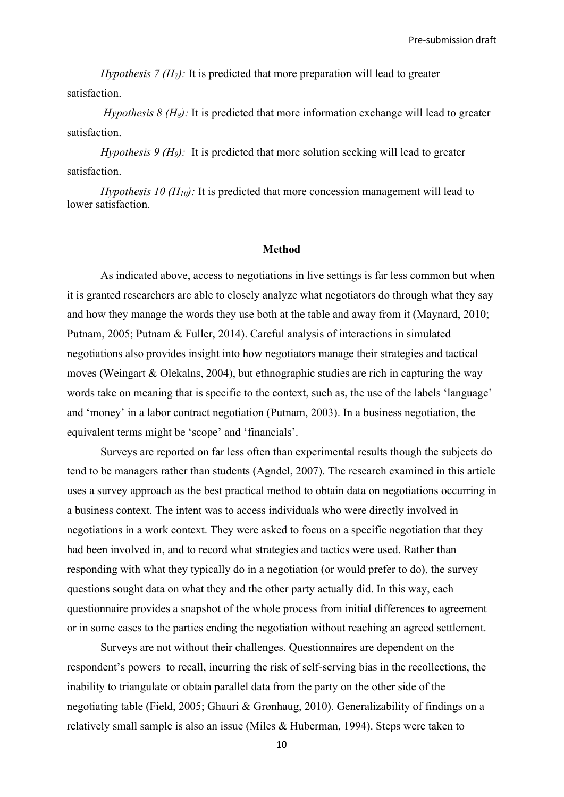*Hypothesis 7 (H<sub>7</sub>):* It is predicted that more preparation will lead to greater satisfaction.

*Hypothesis 8 (H<sub>8</sub>):* It is predicted that more information exchange will lead to greater satisfaction.

*Hypothesis 9 (H<sub>9</sub>)*: It is predicted that more solution seeking will lead to greater satisfaction.

*Hypothesis 10 (H<sub>10</sub>)*: It is predicted that more concession management will lead to lower satisfaction.

#### **Method**

As indicated above, access to negotiations in live settings is far less common but when it is granted researchers are able to closely analyze what negotiators do through what they say and how they manage the words they use both at the table and away from it (Maynard, 2010; Putnam, 2005; Putnam & Fuller, 2014). Careful analysis of interactions in simulated negotiations also provides insight into how negotiators manage their strategies and tactical moves (Weingart & Olekalns, 2004), but ethnographic studies are rich in capturing the way words take on meaning that is specific to the context, such as, the use of the labels 'language' and 'money' in a labor contract negotiation (Putnam, 2003). In a business negotiation, the equivalent terms might be 'scope' and 'financials'.

Surveys are reported on far less often than experimental results though the subjects do tend to be managers rather than students (Agndel, 2007). The research examined in this article uses a survey approach as the best practical method to obtain data on negotiations occurring in a business context. The intent was to access individuals who were directly involved in negotiations in a work context. They were asked to focus on a specific negotiation that they had been involved in, and to record what strategies and tactics were used. Rather than responding with what they typically do in a negotiation (or would prefer to do), the survey questions sought data on what they and the other party actually did. In this way, each questionnaire provides a snapshot of the whole process from initial differences to agreement or in some cases to the parties ending the negotiation without reaching an agreed settlement.

Surveys are not without their challenges. Questionnaires are dependent on the respondent's powers to recall, incurring the risk of self-serving bias in the recollections, the inability to triangulate or obtain parallel data from the party on the other side of the negotiating table (Field, 2005; Ghauri & Grønhaug, 2010). Generalizability of findings on a relatively small sample is also an issue (Miles & Huberman, 1994). Steps were taken to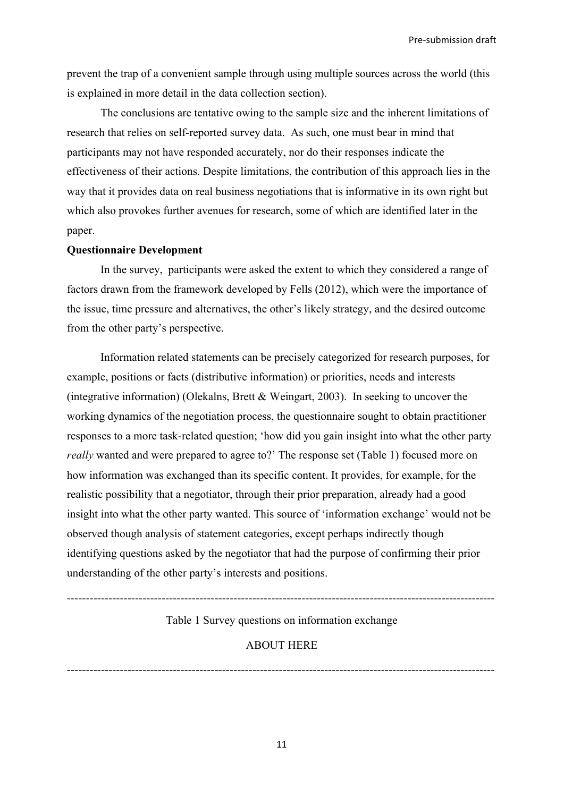prevent the trap of a convenient sample through using multiple sources across the world (this is explained in more detail in the data collection section).

The conclusions are tentative owing to the sample size and the inherent limitations of research that relies on self-reported survey data. As such, one must bear in mind that participants may not have responded accurately, nor do their responses indicate the effectiveness of their actions. Despite limitations, the contribution of this approach lies in the way that it provides data on real business negotiations that is informative in its own right but which also provokes further avenues for research, some of which are identified later in the paper.

#### **Questionnaire Development**

In the survey, participants were asked the extent to which they considered a range of factors drawn from the framework developed by Fells (2012), which were the importance of the issue, time pressure and alternatives, the other's likely strategy, and the desired outcome from the other party's perspective.

Information related statements can be precisely categorized for research purposes, for example, positions or facts (distributive information) or priorities, needs and interests (integrative information) (Olekalns, Brett & Weingart, 2003). In seeking to uncover the working dynamics of the negotiation process, the questionnaire sought to obtain practitioner responses to a more task-related question; 'how did you gain insight into what the other party *really* wanted and were prepared to agree to?' The response set (Table 1) focused more on how information was exchanged than its specific content. It provides, for example, for the realistic possibility that a negotiator, through their prior preparation, already had a good insight into what the other party wanted. This source of 'information exchange' would not be observed though analysis of statement categories, except perhaps indirectly though identifying questions asked by the negotiator that had the purpose of confirming their prior understanding of the other party's interests and positions.

Table 1 Survey questions on information exchange

-----------------------------------------------------------------------------------------------------------------

ABOUT HERE

-----------------------------------------------------------------------------------------------------------------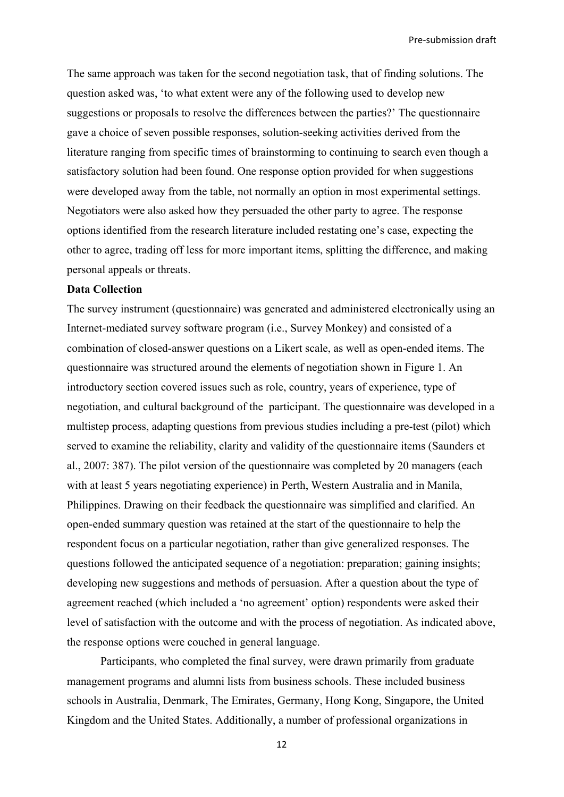The same approach was taken for the second negotiation task, that of finding solutions. The question asked was, 'to what extent were any of the following used to develop new suggestions or proposals to resolve the differences between the parties?' The questionnaire gave a choice of seven possible responses, solution-seeking activities derived from the literature ranging from specific times of brainstorming to continuing to search even though a satisfactory solution had been found. One response option provided for when suggestions were developed away from the table, not normally an option in most experimental settings. Negotiators were also asked how they persuaded the other party to agree. The response options identified from the research literature included restating one's case, expecting the other to agree, trading off less for more important items, splitting the difference, and making personal appeals or threats.

#### **Data Collection**

The survey instrument (questionnaire) was generated and administered electronically using an Internet-mediated survey software program (i.e., Survey Monkey) and consisted of a combination of closed-answer questions on a Likert scale, as well as open-ended items. The questionnaire was structured around the elements of negotiation shown in Figure 1. An introductory section covered issues such as role, country, years of experience, type of negotiation, and cultural background of the participant. The questionnaire was developed in a multistep process, adapting questions from previous studies including a pre-test (pilot) which served to examine the reliability, clarity and validity of the questionnaire items (Saunders et al., 2007: 387). The pilot version of the questionnaire was completed by 20 managers (each with at least 5 years negotiating experience) in Perth, Western Australia and in Manila, Philippines. Drawing on their feedback the questionnaire was simplified and clarified. An open-ended summary question was retained at the start of the questionnaire to help the respondent focus on a particular negotiation, rather than give generalized responses. The questions followed the anticipated sequence of a negotiation: preparation; gaining insights; developing new suggestions and methods of persuasion. After a question about the type of agreement reached (which included a 'no agreement' option) respondents were asked their level of satisfaction with the outcome and with the process of negotiation. As indicated above, the response options were couched in general language.

Participants, who completed the final survey, were drawn primarily from graduate management programs and alumni lists from business schools. These included business schools in Australia, Denmark, The Emirates, Germany, Hong Kong, Singapore, the United Kingdom and the United States. Additionally, a number of professional organizations in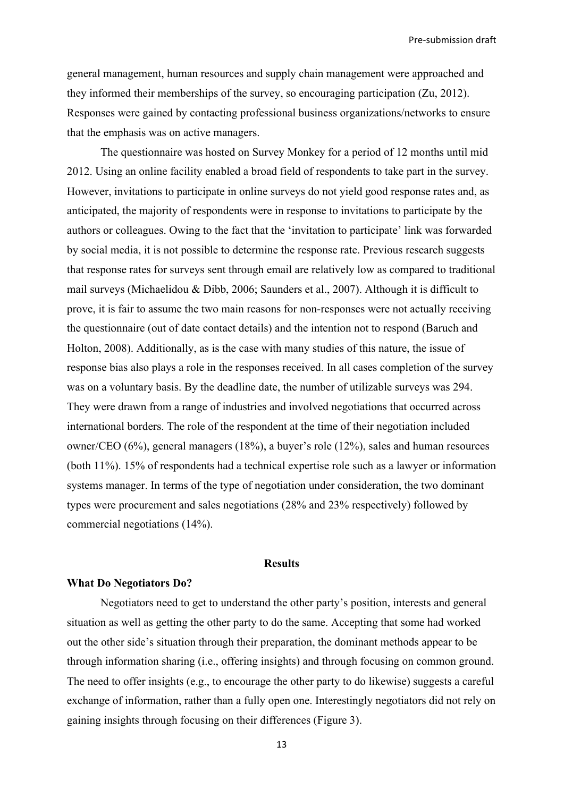general management, human resources and supply chain management were approached and they informed their memberships of the survey, so encouraging participation (Zu, 2012). Responses were gained by contacting professional business organizations/networks to ensure that the emphasis was on active managers.

The questionnaire was hosted on Survey Monkey for a period of 12 months until mid 2012. Using an online facility enabled a broad field of respondents to take part in the survey. However, invitations to participate in online surveys do not yield good response rates and, as anticipated, the majority of respondents were in response to invitations to participate by the authors or colleagues. Owing to the fact that the 'invitation to participate' link was forwarded by social media, it is not possible to determine the response rate. Previous research suggests that response rates for surveys sent through email are relatively low as compared to traditional mail surveys (Michaelidou & Dibb, 2006; Saunders et al., 2007). Although it is difficult to prove, it is fair to assume the two main reasons for non-responses were not actually receiving the questionnaire (out of date contact details) and the intention not to respond (Baruch and Holton, 2008). Additionally, as is the case with many studies of this nature, the issue of response bias also plays a role in the responses received. In all cases completion of the survey was on a voluntary basis. By the deadline date, the number of utilizable surveys was 294. They were drawn from a range of industries and involved negotiations that occurred across international borders. The role of the respondent at the time of their negotiation included owner/CEO (6%), general managers (18%), a buyer's role (12%), sales and human resources (both 11%). 15% of respondents had a technical expertise role such as a lawyer or information systems manager. In terms of the type of negotiation under consideration, the two dominant types were procurement and sales negotiations (28% and 23% respectively) followed by commercial negotiations (14%).

#### **Results**

#### **What Do Negotiators Do?**

Negotiators need to get to understand the other party's position, interests and general situation as well as getting the other party to do the same. Accepting that some had worked out the other side's situation through their preparation, the dominant methods appear to be through information sharing (i.e., offering insights) and through focusing on common ground. The need to offer insights (e.g., to encourage the other party to do likewise) suggests a careful exchange of information, rather than a fully open one. Interestingly negotiators did not rely on gaining insights through focusing on their differences (Figure 3).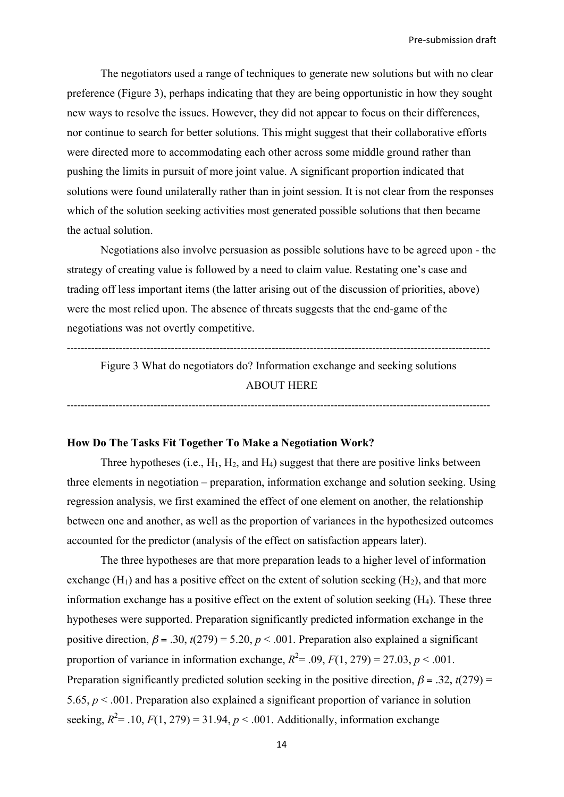The negotiators used a range of techniques to generate new solutions but with no clear preference (Figure 3), perhaps indicating that they are being opportunistic in how they sought new ways to resolve the issues. However, they did not appear to focus on their differences, nor continue to search for better solutions. This might suggest that their collaborative efforts were directed more to accommodating each other across some middle ground rather than pushing the limits in pursuit of more joint value. A significant proportion indicated that solutions were found unilaterally rather than in joint session. It is not clear from the responses which of the solution seeking activities most generated possible solutions that then became the actual solution.

Negotiations also involve persuasion as possible solutions have to be agreed upon - the strategy of creating value is followed by a need to claim value. Restating one's case and trading off less important items (the latter arising out of the discussion of priorities, above) were the most relied upon. The absence of threats suggests that the end-game of the negotiations was not overtly competitive.

Figure 3 What do negotiators do? Information exchange and seeking solutions

--------------------------------------------------------------------------------------------------------------------------

### ABOUT HERE

--------------------------------------------------------------------------------------------------------------------------

### **How Do The Tasks Fit Together To Make a Negotiation Work?**

Three hypotheses (i.e.,  $H_1$ ,  $H_2$ , and  $H_4$ ) suggest that there are positive links between three elements in negotiation – preparation, information exchange and solution seeking. Using regression analysis, we first examined the effect of one element on another, the relationship between one and another, as well as the proportion of variances in the hypothesized outcomes accounted for the predictor (analysis of the effect on satisfaction appears later).

The three hypotheses are that more preparation leads to a higher level of information exchange  $(H_1)$  and has a positive effect on the extent of solution seeking  $(H_2)$ , and that more information exchange has a positive effect on the extent of solution seeking (H4). These three hypotheses were supported. Preparation significantly predicted information exchange in the positive direction,  $\beta = .30$ ,  $t(279) = 5.20$ ,  $p < .001$ . Preparation also explained a significant proportion of variance in information exchange,  $R^2 = .09$ ,  $F(1, 279) = 27.03$ ,  $p < .001$ . Preparation significantly predicted solution seeking in the positive direction,  $\beta$  = .32, *t*(279) = 5.65, *p* < .001. Preparation also explained a significant proportion of variance in solution seeking,  $R^2$  = .10,  $F(1, 279)$  = 31.94,  $p < .001$ . Additionally, information exchange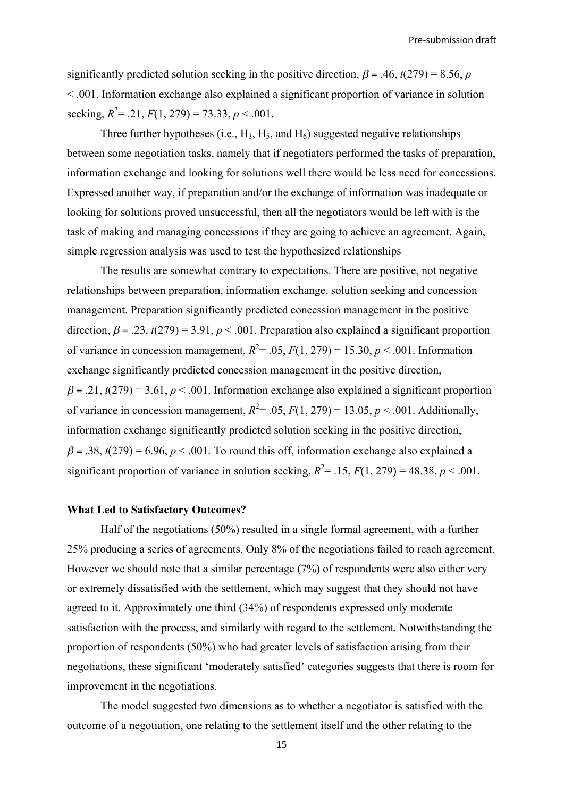significantly predicted solution seeking in the positive direction,  $\beta$  = .46, *t*(279) = 8.56, *p*  $\leq 0.001$ . Information exchange also explained a significant proportion of variance in solution seeking,  $R^2 = .21$ ,  $F(1, 279) = 73.33$ ,  $p < .001$ .

Three further hypotheses (i.e.,  $H_3$ ,  $H_5$ , and  $H_6$ ) suggested negative relationships between some negotiation tasks, namely that if negotiators performed the tasks of preparation, information exchange and looking for solutions well there would be less need for concessions. Expressed another way, if preparation and/or the exchange of information was inadequate or looking for solutions proved unsuccessful, then all the negotiators would be left with is the task of making and managing concessions if they are going to achieve an agreement. Again, simple regression analysis was used to test the hypothesized relationships

The results are somewhat contrary to expectations. There are positive, not negative relationships between preparation, information exchange, solution seeking and concession management. Preparation significantly predicted concession management in the positive direction,  $\beta = .23$ ,  $t(279) = 3.91$ ,  $p < .001$ . Preparation also explained a significant proportion of variance in concession management,  $R^2 = .05$ ,  $F(1, 279) = 15.30$ ,  $p < .001$ . Information exchange significantly predicted concession management in the positive direction,  $\beta = .21$ ,  $t(279) = 3.61$ ,  $p < .001$ . Information exchange also explained a significant proportion of variance in concession management,  $R^2 = .05$ ,  $F(1, 279) = 13.05$ ,  $p < .001$ . Additionally, information exchange significantly predicted solution seeking in the positive direction,  $\beta$  = .38,  $t(279)$  = 6.96,  $p < .001$ . To round this off, information exchange also explained a significant proportion of variance in solution seeking,  $R^2 = .15$ ,  $F(1, 279) = 48.38$ ,  $p < .001$ .

#### **What Led to Satisfactory Outcomes?**

Half of the negotiations (50%) resulted in a single formal agreement, with a further 25% producing a series of agreements. Only 8% of the negotiations failed to reach agreement. However we should note that a similar percentage (7%) of respondents were also either very or extremely dissatisfied with the settlement, which may suggest that they should not have agreed to it. Approximately one third (34%) of respondents expressed only moderate satisfaction with the process, and similarly with regard to the settlement. Notwithstanding the proportion of respondents (50%) who had greater levels of satisfaction arising from their negotiations, these significant 'moderately satisfied' categories suggests that there is room for improvement in the negotiations.

The model suggested two dimensions as to whether a negotiator is satisfied with the outcome of a negotiation, one relating to the settlement itself and the other relating to the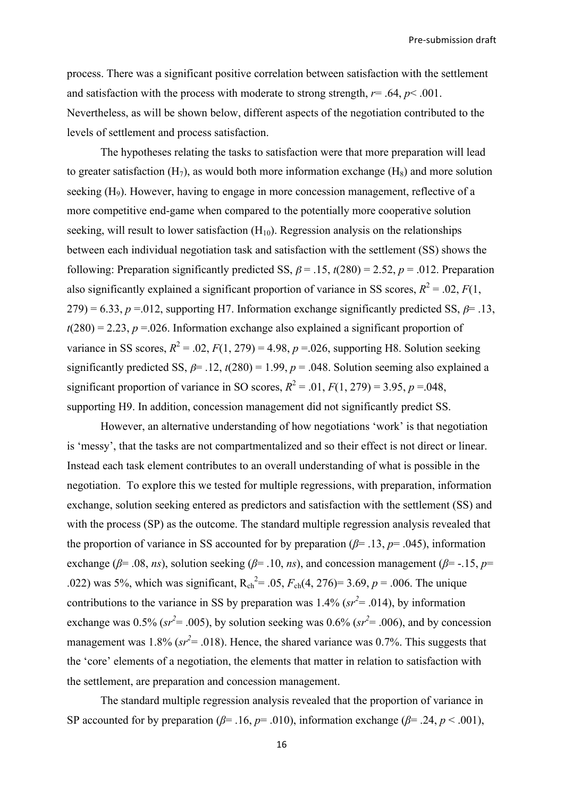process. There was a significant positive correlation between satisfaction with the settlement and satisfaction with the process with moderate to strong strength,  $r = .64$ ,  $p < .001$ . Nevertheless, as will be shown below, different aspects of the negotiation contributed to the levels of settlement and process satisfaction.

The hypotheses relating the tasks to satisfaction were that more preparation will lead to greater satisfaction  $(H_7)$ , as would both more information exchange  $(H_8)$  and more solution seeking (H9). However, having to engage in more concession management, reflective of a more competitive end-game when compared to the potentially more cooperative solution seeking, will result to lower satisfaction  $(H_{10})$ . Regression analysis on the relationships between each individual negotiation task and satisfaction with the settlement (SS) shows the following: Preparation significantly predicted SS,  $\beta$  = .15,  $t(280)$  = 2.52,  $p$  = .012. Preparation also significantly explained a significant proportion of variance in SS scores,  $R^2 = .02$ ,  $F(1)$ ,  $279$ ) = 6.33, *p* = 012, supporting H7. Information exchange significantly predicted SS,  $\beta$ = .13,  $t(280) = 2.23$ ,  $p = 0.026$ . Information exchange also explained a significant proportion of variance in SS scores,  $R^2 = 0.02$ ,  $F(1, 279) = 4.98$ ,  $p = 0.026$ , supporting H8. Solution seeking significantly predicted SS,  $\beta$ = .12, *t*(280) = 1.99, *p* = .048. Solution seeming also explained a significant proportion of variance in SO scores,  $R^2 = .01$ ,  $F(1, 279) = 3.95$ ,  $p = .048$ , supporting H9. In addition, concession management did not significantly predict SS.

However, an alternative understanding of how negotiations 'work' is that negotiation is 'messy', that the tasks are not compartmentalized and so their effect is not direct or linear. Instead each task element contributes to an overall understanding of what is possible in the negotiation. To explore this we tested for multiple regressions, with preparation, information exchange, solution seeking entered as predictors and satisfaction with the settlement (SS) and with the process (SP) as the outcome. The standard multiple regression analysis revealed that the proportion of variance in SS accounted for by preparation ( $\beta$ = .13,  $p$ = .045), information exchange ( $\beta$ = .08, *ns*), solution seeking ( $\beta$ = .10, *ns*), and concession management ( $\beta$ = -.15,  $p$ = .022) was 5%, which was significant,  $R_{ch}^2 = .05$ ,  $F_{ch}(4, 276) = 3.69$ ,  $p = .006$ . The unique contributions to the variance in SS by preparation was 1.4% ( $sr^2$  = .014), by information exchange was 0.5% ( $sr^2$  = .005), by solution seeking was 0.6% ( $sr^2$  = .006), and by concession management was  $1.8\%$  ( $sr^2 = .018$ ). Hence, the shared variance was 0.7%. This suggests that the 'core' elements of a negotiation, the elements that matter in relation to satisfaction with the settlement, are preparation and concession management.

The standard multiple regression analysis revealed that the proportion of variance in SP accounted for by preparation ( $\beta$ = .16,  $p$ = .010), information exchange ( $\beta$ = .24,  $p$  < .001),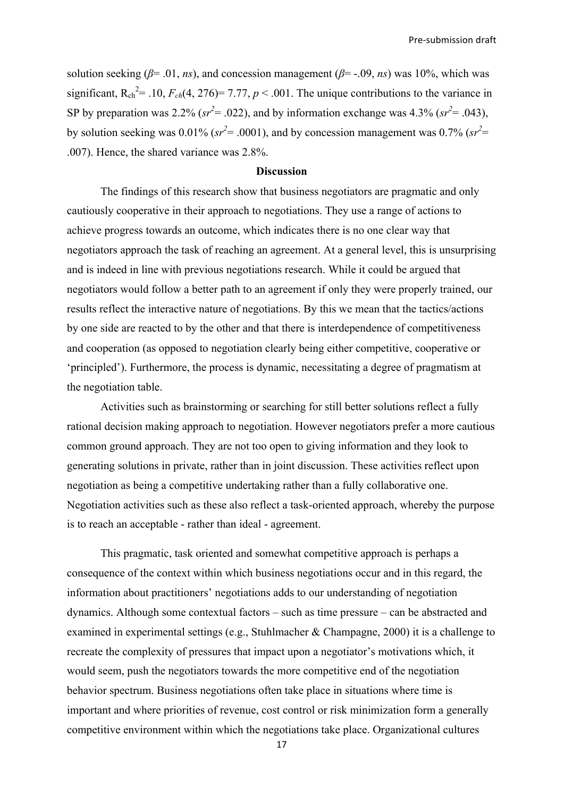solution seeking ( $\beta$ = .01, *ns*), and concession management ( $\beta$ = -.09, *ns*) was 10%, which was significant,  $R_{ch}^2 = 0.10$ ,  $F_{ch}(4, 276) = 7.77$ ,  $p < 0.001$ . The unique contributions to the variance in SP by preparation was 2.2% ( $sr^2 = .022$ ), and by information exchange was 4.3% ( $sr^2 = .043$ ), by solution seeking was 0.01% ( $sr^2$  = .0001), and by concession management was 0.7% ( $sr^2$  = .007). Hence, the shared variance was 2.8%.

#### **Discussion**

The findings of this research show that business negotiators are pragmatic and only cautiously cooperative in their approach to negotiations. They use a range of actions to achieve progress towards an outcome, which indicates there is no one clear way that negotiators approach the task of reaching an agreement. At a general level, this is unsurprising and is indeed in line with previous negotiations research. While it could be argued that negotiators would follow a better path to an agreement if only they were properly trained, our results reflect the interactive nature of negotiations. By this we mean that the tactics/actions by one side are reacted to by the other and that there is interdependence of competitiveness and cooperation (as opposed to negotiation clearly being either competitive, cooperative or 'principled'). Furthermore, the process is dynamic, necessitating a degree of pragmatism at the negotiation table.

Activities such as brainstorming or searching for still better solutions reflect a fully rational decision making approach to negotiation. However negotiators prefer a more cautious common ground approach. They are not too open to giving information and they look to generating solutions in private, rather than in joint discussion. These activities reflect upon negotiation as being a competitive undertaking rather than a fully collaborative one. Negotiation activities such as these also reflect a task-oriented approach, whereby the purpose is to reach an acceptable - rather than ideal - agreement.

This pragmatic, task oriented and somewhat competitive approach is perhaps a consequence of the context within which business negotiations occur and in this regard, the information about practitioners' negotiations adds to our understanding of negotiation dynamics. Although some contextual factors – such as time pressure – can be abstracted and examined in experimental settings (e.g., Stuhlmacher & Champagne, 2000) it is a challenge to recreate the complexity of pressures that impact upon a negotiator's motivations which, it would seem, push the negotiators towards the more competitive end of the negotiation behavior spectrum. Business negotiations often take place in situations where time is important and where priorities of revenue, cost control or risk minimization form a generally competitive environment within which the negotiations take place. Organizational cultures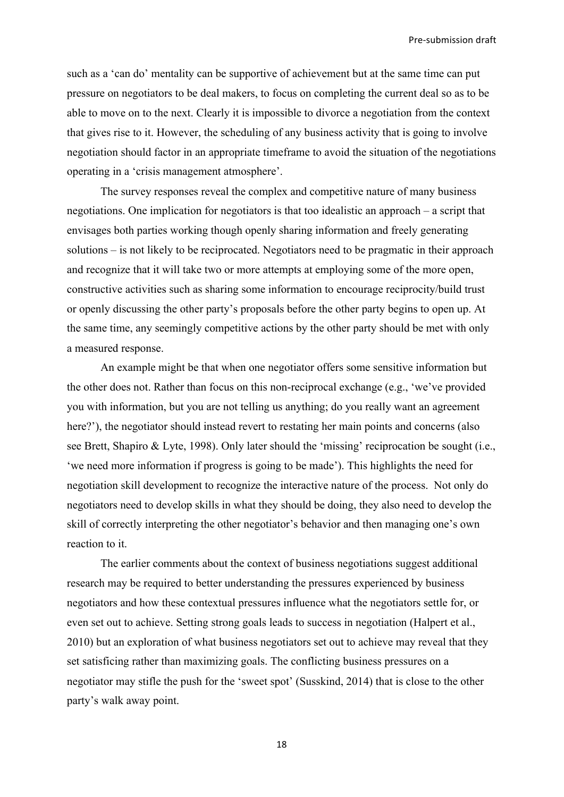such as a 'can do' mentality can be supportive of achievement but at the same time can put pressure on negotiators to be deal makers, to focus on completing the current deal so as to be able to move on to the next. Clearly it is impossible to divorce a negotiation from the context that gives rise to it. However, the scheduling of any business activity that is going to involve negotiation should factor in an appropriate timeframe to avoid the situation of the negotiations operating in a 'crisis management atmosphere'.

The survey responses reveal the complex and competitive nature of many business negotiations. One implication for negotiators is that too idealistic an approach – a script that envisages both parties working though openly sharing information and freely generating solutions – is not likely to be reciprocated. Negotiators need to be pragmatic in their approach and recognize that it will take two or more attempts at employing some of the more open, constructive activities such as sharing some information to encourage reciprocity/build trust or openly discussing the other party's proposals before the other party begins to open up. At the same time, any seemingly competitive actions by the other party should be met with only a measured response.

An example might be that when one negotiator offers some sensitive information but the other does not. Rather than focus on this non-reciprocal exchange (e.g., 'we've provided you with information, but you are not telling us anything; do you really want an agreement here?'), the negotiator should instead revert to restating her main points and concerns (also see Brett, Shapiro & Lyte, 1998). Only later should the 'missing' reciprocation be sought (i.e., 'we need more information if progress is going to be made'). This highlights the need for negotiation skill development to recognize the interactive nature of the process. Not only do negotiators need to develop skills in what they should be doing, they also need to develop the skill of correctly interpreting the other negotiator's behavior and then managing one's own reaction to it.

The earlier comments about the context of business negotiations suggest additional research may be required to better understanding the pressures experienced by business negotiators and how these contextual pressures influence what the negotiators settle for, or even set out to achieve. Setting strong goals leads to success in negotiation (Halpert et al., 2010) but an exploration of what business negotiators set out to achieve may reveal that they set satisficing rather than maximizing goals. The conflicting business pressures on a negotiator may stifle the push for the 'sweet spot' (Susskind, 2014) that is close to the other party's walk away point.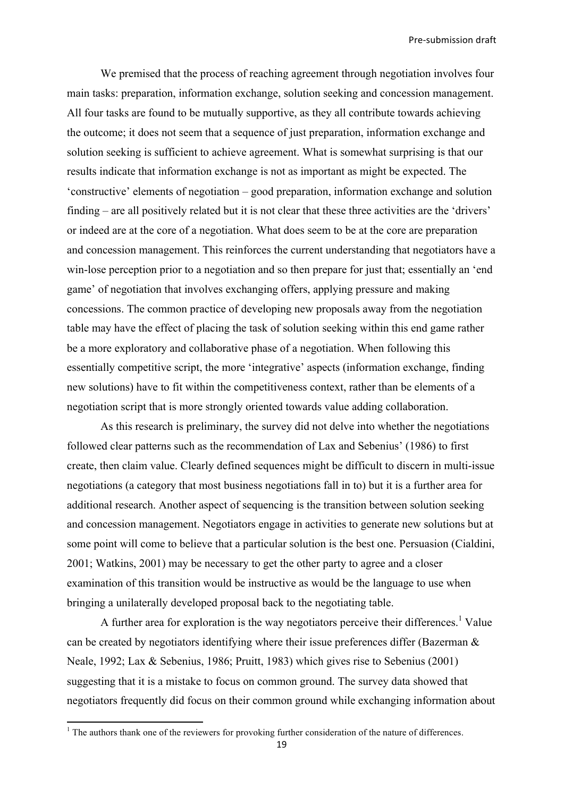We premised that the process of reaching agreement through negotiation involves four main tasks: preparation, information exchange, solution seeking and concession management. All four tasks are found to be mutually supportive, as they all contribute towards achieving the outcome; it does not seem that a sequence of just preparation, information exchange and solution seeking is sufficient to achieve agreement. What is somewhat surprising is that our results indicate that information exchange is not as important as might be expected. The 'constructive' elements of negotiation – good preparation, information exchange and solution finding – are all positively related but it is not clear that these three activities are the 'drivers' or indeed are at the core of a negotiation. What does seem to be at the core are preparation and concession management. This reinforces the current understanding that negotiators have a win-lose perception prior to a negotiation and so then prepare for just that; essentially an 'end game' of negotiation that involves exchanging offers, applying pressure and making concessions. The common practice of developing new proposals away from the negotiation table may have the effect of placing the task of solution seeking within this end game rather be a more exploratory and collaborative phase of a negotiation. When following this essentially competitive script, the more 'integrative' aspects (information exchange, finding new solutions) have to fit within the competitiveness context, rather than be elements of a negotiation script that is more strongly oriented towards value adding collaboration.

As this research is preliminary, the survey did not delve into whether the negotiations followed clear patterns such as the recommendation of Lax and Sebenius' (1986) to first create, then claim value. Clearly defined sequences might be difficult to discern in multi-issue negotiations (a category that most business negotiations fall in to) but it is a further area for additional research. Another aspect of sequencing is the transition between solution seeking and concession management. Negotiators engage in activities to generate new solutions but at some point will come to believe that a particular solution is the best one. Persuasion (Cialdini, 2001; Watkins, 2001) may be necessary to get the other party to agree and a closer examination of this transition would be instructive as would be the language to use when bringing a unilaterally developed proposal back to the negotiating table.

A further area for exploration is the way negotiators perceive their differences.<sup>1</sup> Value can be created by negotiators identifying where their issue preferences differ (Bazerman & Neale, 1992; Lax & Sebenius, 1986; Pruitt, 1983) which gives rise to Sebenius (2001) suggesting that it is a mistake to focus on common ground. The survey data showed that negotiators frequently did focus on their common ground while exchanging information about

<u> 1989 - Jan Samuel Barbara, margaret e</u>

 $1$ . The authors thank one of the reviewers for provoking further consideration of the nature of differences.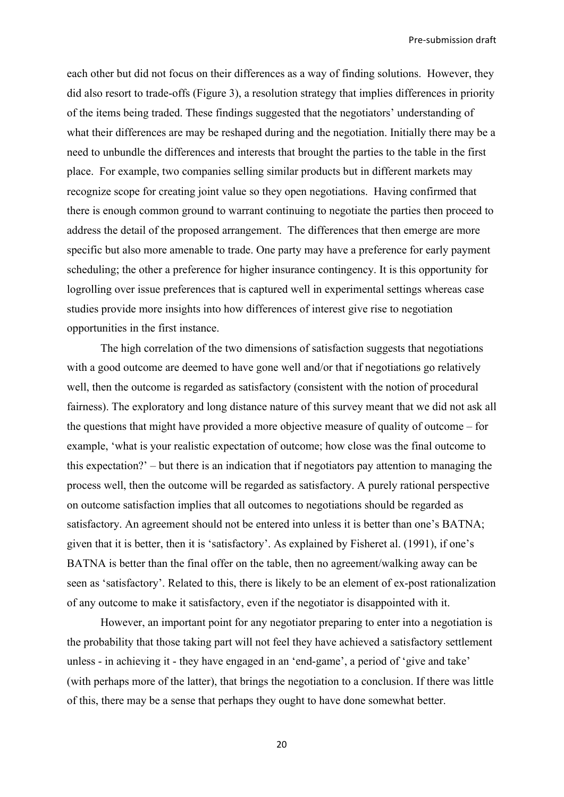each other but did not focus on their differences as a way of finding solutions. However, they did also resort to trade-offs (Figure 3), a resolution strategy that implies differences in priority of the items being traded. These findings suggested that the negotiators' understanding of what their differences are may be reshaped during and the negotiation. Initially there may be a need to unbundle the differences and interests that brought the parties to the table in the first place. For example, two companies selling similar products but in different markets may recognize scope for creating joint value so they open negotiations. Having confirmed that there is enough common ground to warrant continuing to negotiate the parties then proceed to address the detail of the proposed arrangement. The differences that then emerge are more specific but also more amenable to trade. One party may have a preference for early payment scheduling; the other a preference for higher insurance contingency. It is this opportunity for logrolling over issue preferences that is captured well in experimental settings whereas case studies provide more insights into how differences of interest give rise to negotiation opportunities in the first instance.

The high correlation of the two dimensions of satisfaction suggests that negotiations with a good outcome are deemed to have gone well and/or that if negotiations go relatively well, then the outcome is regarded as satisfactory (consistent with the notion of procedural fairness). The exploratory and long distance nature of this survey meant that we did not ask all the questions that might have provided a more objective measure of quality of outcome – for example, 'what is your realistic expectation of outcome; how close was the final outcome to this expectation?' – but there is an indication that if negotiators pay attention to managing the process well, then the outcome will be regarded as satisfactory. A purely rational perspective on outcome satisfaction implies that all outcomes to negotiations should be regarded as satisfactory. An agreement should not be entered into unless it is better than one's BATNA; given that it is better, then it is 'satisfactory'. As explained by Fisheret al. (1991), if one's BATNA is better than the final offer on the table, then no agreement/walking away can be seen as 'satisfactory'. Related to this, there is likely to be an element of ex-post rationalization of any outcome to make it satisfactory, even if the negotiator is disappointed with it.

However, an important point for any negotiator preparing to enter into a negotiation is the probability that those taking part will not feel they have achieved a satisfactory settlement unless - in achieving it - they have engaged in an 'end-game', a period of 'give and take' (with perhaps more of the latter), that brings the negotiation to a conclusion. If there was little of this, there may be a sense that perhaps they ought to have done somewhat better.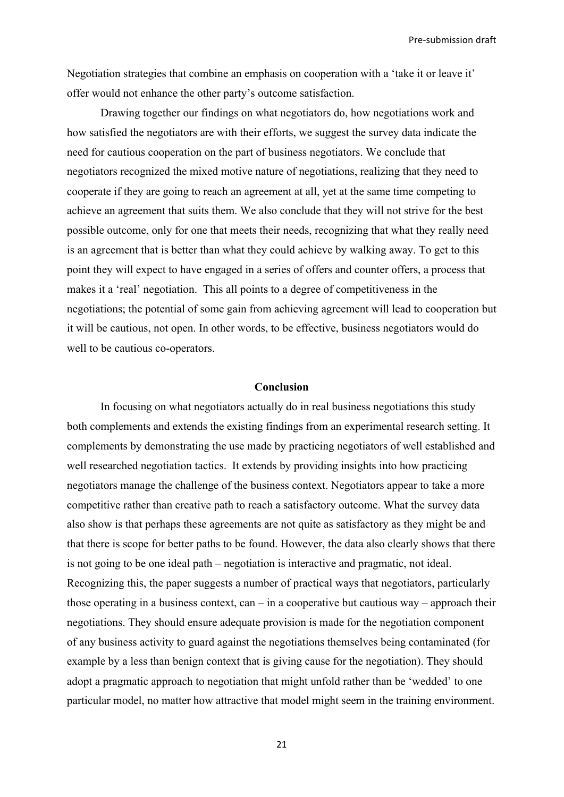Negotiation strategies that combine an emphasis on cooperation with a 'take it or leave it' offer would not enhance the other party's outcome satisfaction.

Drawing together our findings on what negotiators do, how negotiations work and how satisfied the negotiators are with their efforts, we suggest the survey data indicate the need for cautious cooperation on the part of business negotiators. We conclude that negotiators recognized the mixed motive nature of negotiations, realizing that they need to cooperate if they are going to reach an agreement at all, yet at the same time competing to achieve an agreement that suits them. We also conclude that they will not strive for the best possible outcome, only for one that meets their needs, recognizing that what they really need is an agreement that is better than what they could achieve by walking away. To get to this point they will expect to have engaged in a series of offers and counter offers, a process that makes it a 'real' negotiation. This all points to a degree of competitiveness in the negotiations; the potential of some gain from achieving agreement will lead to cooperation but it will be cautious, not open. In other words, to be effective, business negotiators would do well to be cautious co-operators.

#### **Conclusion**

In focusing on what negotiators actually do in real business negotiations this study both complements and extends the existing findings from an experimental research setting. It complements by demonstrating the use made by practicing negotiators of well established and well researched negotiation tactics. It extends by providing insights into how practicing negotiators manage the challenge of the business context. Negotiators appear to take a more competitive rather than creative path to reach a satisfactory outcome. What the survey data also show is that perhaps these agreements are not quite as satisfactory as they might be and that there is scope for better paths to be found. However, the data also clearly shows that there is not going to be one ideal path – negotiation is interactive and pragmatic, not ideal. Recognizing this, the paper suggests a number of practical ways that negotiators, particularly those operating in a business context, can – in a cooperative but cautious way – approach their negotiations. They should ensure adequate provision is made for the negotiation component of any business activity to guard against the negotiations themselves being contaminated (for example by a less than benign context that is giving cause for the negotiation). They should adopt a pragmatic approach to negotiation that might unfold rather than be 'wedded' to one particular model, no matter how attractive that model might seem in the training environment.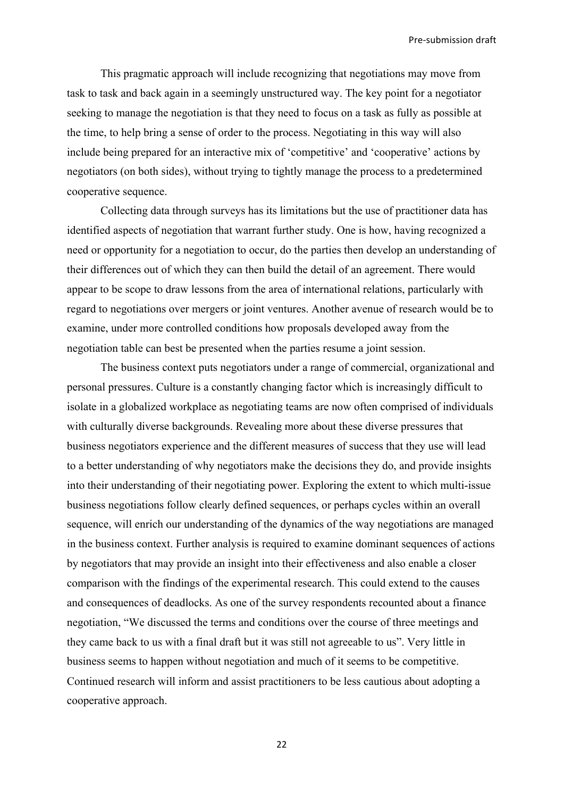This pragmatic approach will include recognizing that negotiations may move from task to task and back again in a seemingly unstructured way. The key point for a negotiator seeking to manage the negotiation is that they need to focus on a task as fully as possible at the time, to help bring a sense of order to the process. Negotiating in this way will also include being prepared for an interactive mix of 'competitive' and 'cooperative' actions by negotiators (on both sides), without trying to tightly manage the process to a predetermined cooperative sequence.

Collecting data through surveys has its limitations but the use of practitioner data has identified aspects of negotiation that warrant further study. One is how, having recognized a need or opportunity for a negotiation to occur, do the parties then develop an understanding of their differences out of which they can then build the detail of an agreement. There would appear to be scope to draw lessons from the area of international relations, particularly with regard to negotiations over mergers or joint ventures. Another avenue of research would be to examine, under more controlled conditions how proposals developed away from the negotiation table can best be presented when the parties resume a joint session.

The business context puts negotiators under a range of commercial, organizational and personal pressures. Culture is a constantly changing factor which is increasingly difficult to isolate in a globalized workplace as negotiating teams are now often comprised of individuals with culturally diverse backgrounds. Revealing more about these diverse pressures that business negotiators experience and the different measures of success that they use will lead to a better understanding of why negotiators make the decisions they do, and provide insights into their understanding of their negotiating power. Exploring the extent to which multi-issue business negotiations follow clearly defined sequences, or perhaps cycles within an overall sequence, will enrich our understanding of the dynamics of the way negotiations are managed in the business context. Further analysis is required to examine dominant sequences of actions by negotiators that may provide an insight into their effectiveness and also enable a closer comparison with the findings of the experimental research. This could extend to the causes and consequences of deadlocks. As one of the survey respondents recounted about a finance negotiation, "We discussed the terms and conditions over the course of three meetings and they came back to us with a final draft but it was still not agreeable to us". Very little in business seems to happen without negotiation and much of it seems to be competitive. Continued research will inform and assist practitioners to be less cautious about adopting a cooperative approach.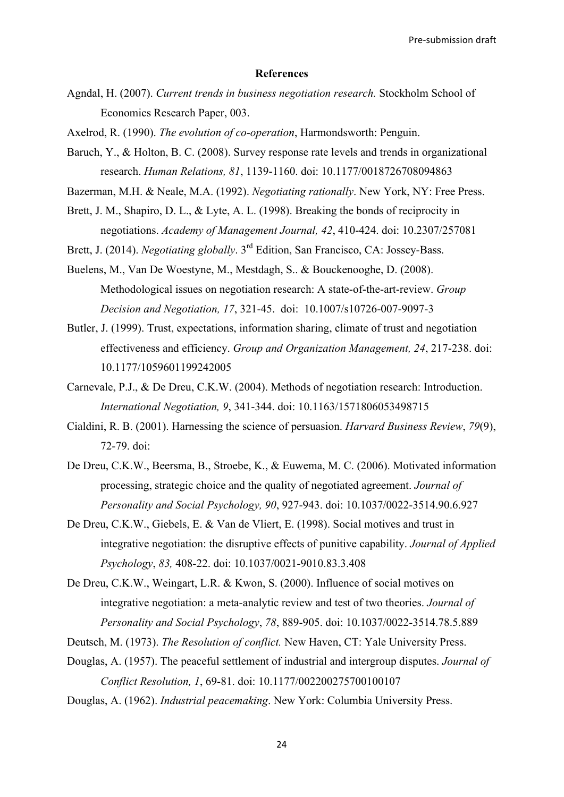#### **References**

- Agndal, H. (2007). *Current trends in business negotiation research.* Stockholm School of Economics Research Paper, 003.
- Axelrod, R. (1990). *The evolution of co-operation*, Harmondsworth: Penguin.
- Baruch, Y., & Holton, B. C. (2008). Survey response rate levels and trends in organizational research. *Human Relations, 81*, 1139-1160. doi: 10.1177/0018726708094863
- Bazerman, M.H. & Neale, M.A. (1992). *Negotiating rationally*. New York, NY: Free Press.
- Brett, J. M., Shapiro, D. L., & Lyte, A. L. (1998). Breaking the bonds of reciprocity in negotiations. *Academy of Management Journal, 42*, 410-424. doi: 10.2307/257081
- Brett, J. (2014). *Negotiating globally*. 3rd Edition, San Francisco, CA: Jossey-Bass.
- Buelens, M., Van De Woestyne, M., Mestdagh, S.. & Bouckenooghe, D. (2008). Methodological issues on negotiation research: A state-of-the-art-review. *Group Decision and Negotiation, 17*, 321-45. doi: 10.1007/s10726-007-9097-3
- Butler, J. (1999). Trust, expectations, information sharing, climate of trust and negotiation effectiveness and efficiency. *Group and Organization Management, 24*, 217-238. doi: 10.1177/1059601199242005
- Carnevale, P.J., & De Dreu, C.K.W. (2004). Methods of negotiation research: Introduction. *International Negotiation, 9*, 341-344. doi: 10.1163/1571806053498715
- Cialdini, R. B. (2001). Harnessing the science of persuasion. *Harvard Business Review*, *79*(9), 72-79. doi:
- De Dreu, C.K.W., Beersma, B., Stroebe, K., & Euwema, M. C. (2006). Motivated information processing, strategic choice and the quality of negotiated agreement. *Journal of Personality and Social Psychology, 90*, 927-943. doi: 10.1037/0022-3514.90.6.927
- De Dreu, C.K.W., Giebels, E. & Van de Vliert, E. (1998). Social motives and trust in integrative negotiation: the disruptive effects of punitive capability. *Journal of Applied Psychology*, *83,* 408-22. doi: 10.1037/0021-9010.83.3.408
- De Dreu, C.K.W., Weingart, L.R. & Kwon, S. (2000). Influence of social motives on integrative negotiation: a meta-analytic review and test of two theories. *Journal of Personality and Social Psychology*, *78*, 889-905. doi: 10.1037/0022-3514.78.5.889
- Deutsch, M. (1973). *The Resolution of conflict.* New Haven, CT: Yale University Press.
- Douglas, A. (1957). The peaceful settlement of industrial and intergroup disputes. *Journal of Conflict Resolution, 1*, 69-81. doi: 10.1177/002200275700100107
- Douglas, A. (1962). *Industrial peacemaking*. New York: Columbia University Press.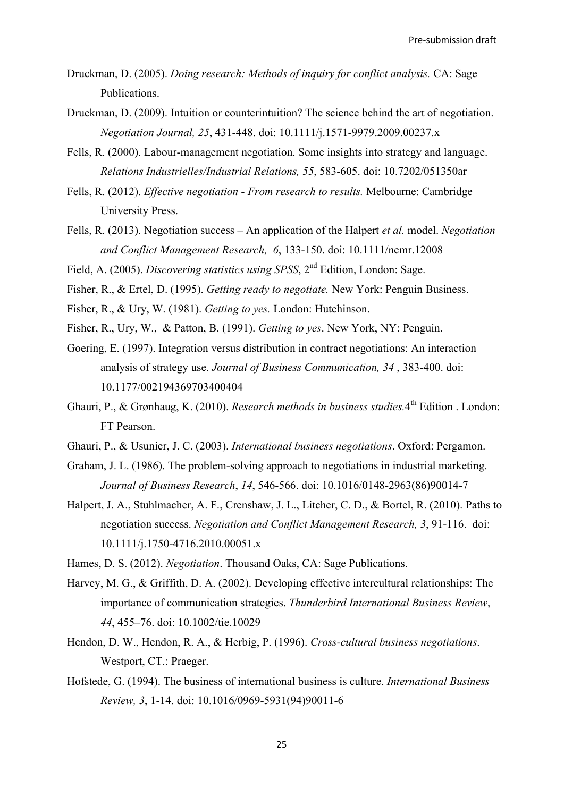- Druckman, D. (2005). *Doing research: Methods of inquiry for conflict analysis.* CA: Sage Publications.
- Druckman, D. (2009). Intuition or counterintuition? The science behind the art of negotiation. *Negotiation Journal, 25*, 431-448. doi: 10.1111/j.1571-9979.2009.00237.x
- Fells, R. (2000). Labour-management negotiation. Some insights into strategy and language. *Relations Industrielles/Industrial Relations, 55*, 583-605. doi: 10.7202/051350ar
- Fells, R. (2012). *Effective negotiation - From research to results.* Melbourne: Cambridge University Press.
- Fells, R. (2013). Negotiation success An application of the Halpert *et al.* model. *Negotiation and Conflict Management Research, 6*, 133-150. doi: 10.1111/ncmr.12008
- Field, A. (2005). *Discovering statistics using SPSS*, 2<sup>nd</sup> Edition, London: Sage.
- Fisher, R., & Ertel, D. (1995). *Getting ready to negotiate.* New York: Penguin Business.
- Fisher, R., & Ury, W. (1981). *Getting to yes.* London: Hutchinson.
- Fisher, R., Ury, W., & Patton, B. (1991). *Getting to yes*. New York, NY: Penguin.
- Goering, E. (1997). Integration versus distribution in contract negotiations: An interaction analysis of strategy use. *Journal of Business Communication, 34* , 383-400. doi: 10.1177/002194369703400404
- Ghauri, P., & Grønhaug, K. (2010). *Research methods in business studies.*4th Edition . London: FT Pearson.
- Ghauri, P., & Usunier, J. C. (2003). *International business negotiations*. Oxford: Pergamon.
- Graham, J. L. (1986). The problem-solving approach to negotiations in industrial marketing. *Journal of Business Research*, *14*, 546-566. doi: 10.1016/0148-2963(86)90014-7
- Halpert, J. A., Stuhlmacher, A. F., Crenshaw, J. L., Litcher, C. D., & Bortel, R. (2010). Paths to negotiation success. *Negotiation and Conflict Management Research, 3*, 91-116. doi: 10.1111/j.1750-4716.2010.00051.x
- Hames, D. S. (2012). *Negotiation*. Thousand Oaks, CA: Sage Publications.
- Harvey, M. G., & Griffith, D. A. (2002). Developing effective intercultural relationships: The importance of communication strategies. *Thunderbird International Business Review*, *44*, 455–76. doi: 10.1002/tie.10029
- Hendon, D. W., Hendon, R. A., & Herbig, P. (1996). *Cross-cultural business negotiations*. Westport, CT.: Praeger.
- Hofstede, G. (1994). The business of international business is culture. *International Business Review, 3*, 1-14. doi: 10.1016/0969-5931(94)90011-6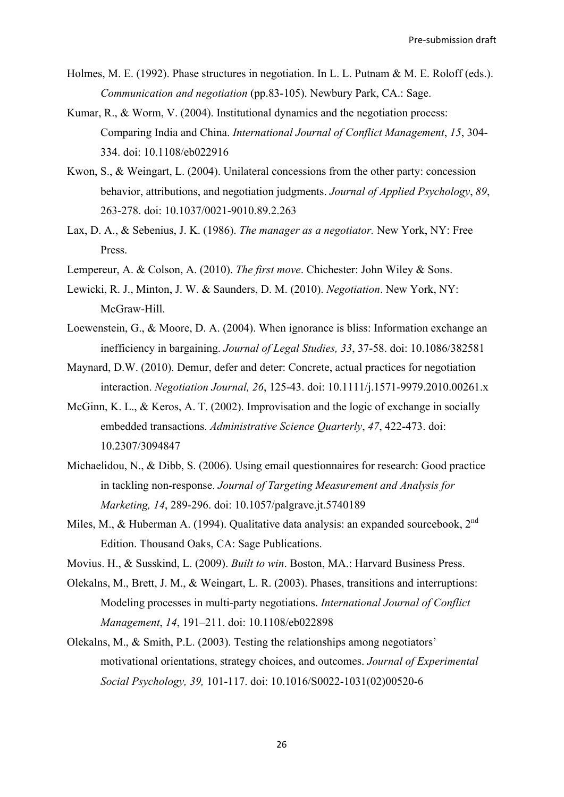- Holmes, M. E. (1992). Phase structures in negotiation. In L. L. Putnam & M. E. Roloff (eds.). *Communication and negotiation* (pp.83-105). Newbury Park, CA.: Sage.
- Kumar, R., & Worm, V. (2004). Institutional dynamics and the negotiation process: Comparing India and China. *International Journal of Conflict Management*, *15*, 304- 334. doi: 10.1108/eb022916
- Kwon, S., & Weingart, L. (2004). Unilateral concessions from the other party: concession behavior, attributions, and negotiation judgments. *Journal of Applied Psychology*, *89*, 263-278. doi: 10.1037/0021-9010.89.2.263
- Lax, D. A., & Sebenius, J. K. (1986). *The manager as a negotiator.* New York, NY: Free Press.
- Lempereur, A. & Colson, A. (2010). *The first move*. Chichester: John Wiley & Sons.
- Lewicki, R. J., Minton, J. W. & Saunders, D. M. (2010). *Negotiation*. New York, NY: McGraw-Hill.
- Loewenstein, G., & Moore, D. A. (2004). When ignorance is bliss: Information exchange an inefficiency in bargaining. *Journal of Legal Studies, 33*, 37-58. doi: 10.1086/382581
- Maynard, D.W. (2010). Demur, defer and deter: Concrete, actual practices for negotiation interaction. *Negotiation Journal, 26*, 125-43. doi: 10.1111/j.1571-9979.2010.00261.x
- McGinn, K. L., & Keros, A. T. (2002). Improvisation and the logic of exchange in socially embedded transactions. *Administrative Science Quarterly*, *47*, 422-473. doi: 10.2307/3094847
- Michaelidou, N., & Dibb, S. (2006). Using email questionnaires for research: Good practice in tackling non-response. *Journal of Targeting Measurement and Analysis for Marketing, 14*, 289-296. doi: 10.1057/palgrave.jt.5740189
- Miles, M., & Huberman A. (1994). Qualitative data analysis: an expanded sourcebook, 2<sup>nd</sup> Edition. Thousand Oaks, CA: Sage Publications.
- Movius. H., & Susskind, L. (2009). *Built to win*. Boston, MA.: Harvard Business Press.
- Olekalns, M., Brett, J. M., & Weingart, L. R. (2003). Phases, transitions and interruptions: Modeling processes in multi-party negotiations. *International Journal of Conflict Management*, *14*, 191–211. doi: 10.1108/eb022898
- Olekalns, M., & Smith, P.L. (2003). Testing the relationships among negotiators' motivational orientations, strategy choices, and outcomes. *Journal of Experimental Social Psychology, 39,* 101-117. doi: 10.1016/S0022-1031(02)00520-6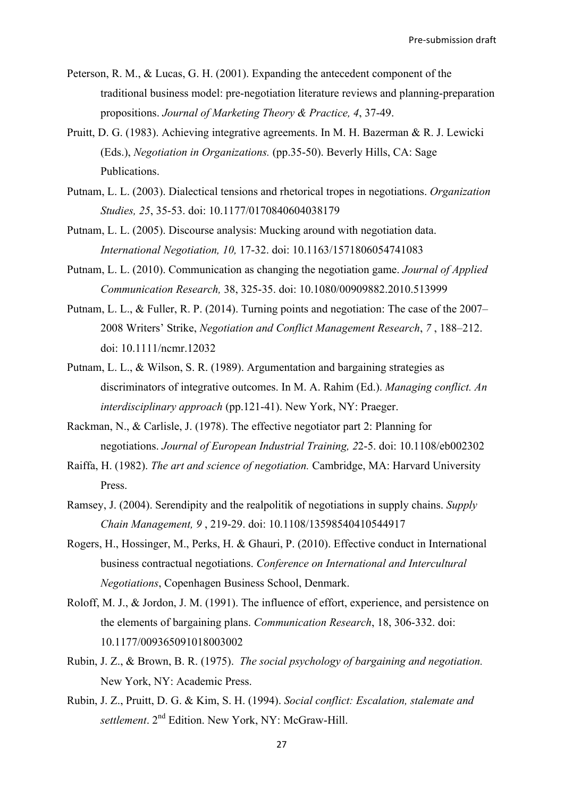- Peterson, R. M., & Lucas, G. H. (2001). Expanding the antecedent component of the traditional business model: pre-negotiation literature reviews and planning-preparation propositions. *Journal of Marketing Theory & Practice, 4*, 37-49.
- Pruitt, D. G. (1983). Achieving integrative agreements. In M. H. Bazerman & R. J. Lewicki (Eds.), *Negotiation in Organizations.* (pp.35-50). Beverly Hills, CA: Sage Publications.
- Putnam, L. L. (2003). Dialectical tensions and rhetorical tropes in negotiations. *Organization Studies, 25*, 35-53. doi: 10.1177/0170840604038179
- Putnam, L. L. (2005). Discourse analysis: Mucking around with negotiation data. *International Negotiation, 10,* 17-32. doi: 10.1163/1571806054741083
- Putnam, L. L. (2010). Communication as changing the negotiation game. *Journal of Applied Communication Research,* 38, 325-35. doi: 10.1080/00909882.2010.513999
- Putnam, L. L., & Fuller, R. P. (2014). Turning points and negotiation: The case of the 2007– 2008 Writers' Strike, *Negotiation and Conflict Management Research*, *7* , 188–212. doi: 10.1111/ncmr.12032
- Putnam, L. L., & Wilson, S. R. (1989). Argumentation and bargaining strategies as discriminators of integrative outcomes. In M. A. Rahim (Ed.). *Managing conflict. An interdisciplinary approach* (pp.121-41). New York, NY: Praeger.
- Rackman, N., & Carlisle, J. (1978). The effective negotiator part 2: Planning for negotiations. *Journal of European Industrial Training, 2*2-5. doi: 10.1108/eb002302
- Raiffa, H. (1982). *The art and science of negotiation.* Cambridge, MA: Harvard University Press.
- Ramsey, J. (2004). Serendipity and the realpolitik of negotiations in supply chains. *Supply Chain Management, 9* , 219-29. doi: 10.1108/13598540410544917
- Rogers, H., Hossinger, M., Perks, H. & Ghauri, P. (2010). Effective conduct in International business contractual negotiations. *Conference on International and Intercultural Negotiations*, Copenhagen Business School, Denmark.
- Roloff, M. J., & Jordon, J. M. (1991). The influence of effort, experience, and persistence on the elements of bargaining plans. *Communication Research*, 18, 306-332. doi: 10.1177/009365091018003002
- Rubin, J. Z., & Brown, B. R. (1975). *The social psychology of bargaining and negotiation.* New York, NY: Academic Press.
- Rubin, J. Z., Pruitt, D. G. & Kim, S. H. (1994). *Social conflict: Escalation, stalemate and settlement*. 2nd Edition. New York, NY: McGraw-Hill.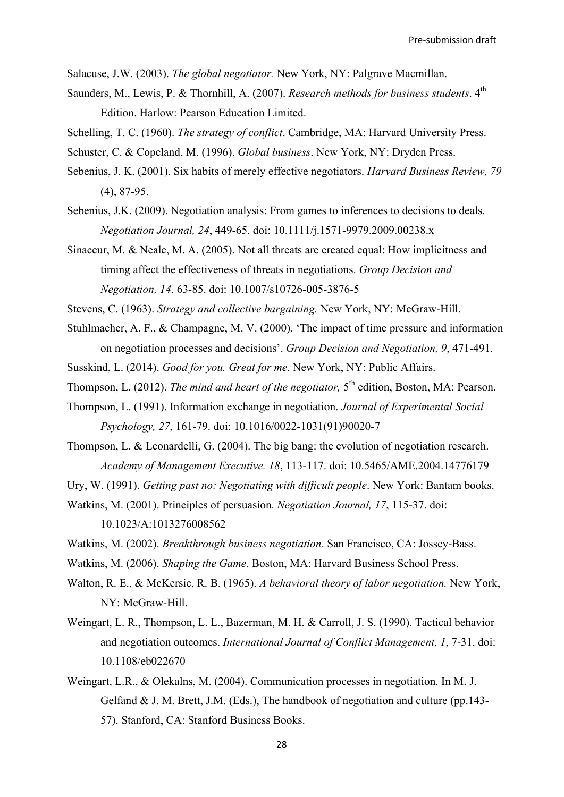Salacuse, J.W. (2003). *The global negotiator.* New York, NY: Palgrave Macmillan.

- Saunders, M., Lewis, P. & Thornhill, A. (2007). *Research methods for business students*. 4<sup>th</sup> Edition. Harlow: Pearson Education Limited.
- Schelling, T. C. (1960). *The strategy of conflict*. Cambridge, MA: Harvard University Press.
- Schuster, C. & Copeland, M. (1996). *Global business*. New York, NY: Dryden Press.
- Sebenius, J. K. (2001). Six habits of merely effective negotiators. *Harvard Business Review, 79* (4), 87-95.
- Sebenius, J.K. (2009). Negotiation analysis: From games to inferences to decisions to deals. *Negotiation Journal, 24*, 449-65. doi: 10.1111/j.1571-9979.2009.00238.x
- Sinaceur, M. & Neale, M. A. (2005). Not all threats are created equal: How implicitness and timing affect the effectiveness of threats in negotiations. *Group Decision and Negotiation, 14*, 63-85. doi: 10.1007/s10726-005-3876-5
- Stevens, C. (1963). *Strategy and collective bargaining.* New York, NY: McGraw-Hill.
- Stuhlmacher, A. F., & Champagne, M. V. (2000). 'The impact of time pressure and information on negotiation processes and decisions'. *Group Decision and Negotiation, 9*, 471-491.
- Susskind, L. (2014). *Good for you. Great for me*. New York, NY: Public Affairs.
- Thompson, L. (2012). *The mind and heart of the negotiator*, 5<sup>th</sup> edition, Boston, MA: Pearson.
- Thompson, L. (1991). Information exchange in negotiation. *Journal of Experimental Social Psychology, 27*, 161-79. doi: 10.1016/0022-1031(91)90020-7
- Thompson, L. & Leonardelli, G. (2004). The big bang: the evolution of negotiation research. *Academy of Management Executive. 18*, 113-117. doi: 10.5465/AME.2004.14776179
- Ury, W. (1991). *Getting past no: Negotiating with difficult people*. New York: Bantam books.
- Watkins, M. (2001). Principles of persuasion. *Negotiation Journal, 17*, 115-37. doi: 10.1023/A:1013276008562
- Watkins, M. (2002). *Breakthrough business negotiation*. San Francisco, CA: Jossey-Bass.
- Watkins, M. (2006). *Shaping the Game*. Boston, MA: Harvard Business School Press.
- Walton, R. E., & McKersie, R. B. (1965). *A behavioral theory of labor negotiation.* New York, NY: McGraw-Hill.
- Weingart, L. R., Thompson, L. L., Bazerman, M. H. & Carroll, J. S. (1990). Tactical behavior and negotiation outcomes. *International Journal of Conflict Management, 1*, 7-31. doi: 10.1108/eb022670
- Weingart, L.R., & Olekalns, M. (2004). Communication processes in negotiation. In M. J. Gelfand & J. M. Brett, J.M. (Eds.), The handbook of negotiation and culture (pp.143- 57). Stanford, CA: Stanford Business Books.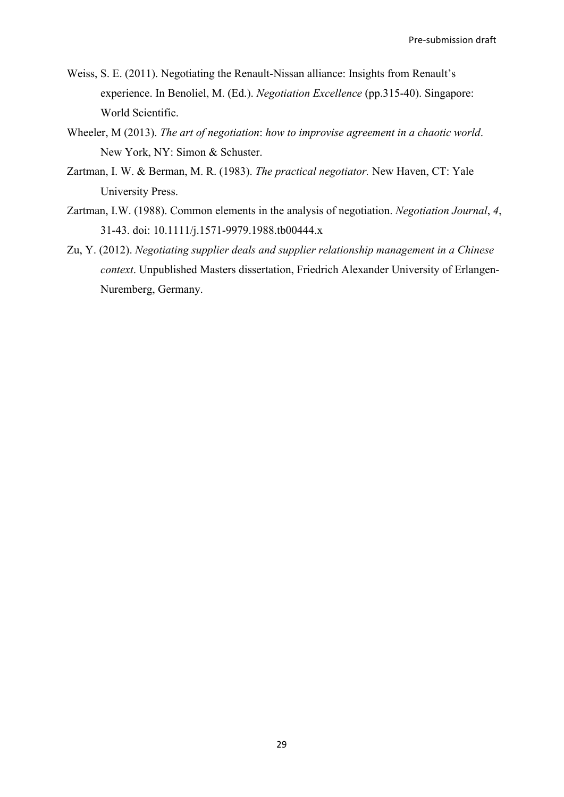- Weiss, S. E. (2011). Negotiating the Renault-Nissan alliance: Insights from Renault's experience. In Benoliel, M. (Ed.). *Negotiation Excellence* (pp.315-40). Singapore: World Scientific.
- Wheeler, M (2013). *The art of negotiation*: *how to improvise agreement in a chaotic world*. New York, NY: Simon & Schuster.
- Zartman, I. W. & Berman, M. R. (1983). *The practical negotiator.* New Haven, CT: Yale University Press.
- Zartman, I.W. (1988). Common elements in the analysis of negotiation. *Negotiation Journal*, *4*, 31-43. doi: 10.1111/j.1571-9979.1988.tb00444.x
- Zu, Y. (2012). *Negotiating supplier deals and supplier relationship management in a Chinese context*. Unpublished Masters dissertation, Friedrich Alexander University of Erlangen-Nuremberg, Germany.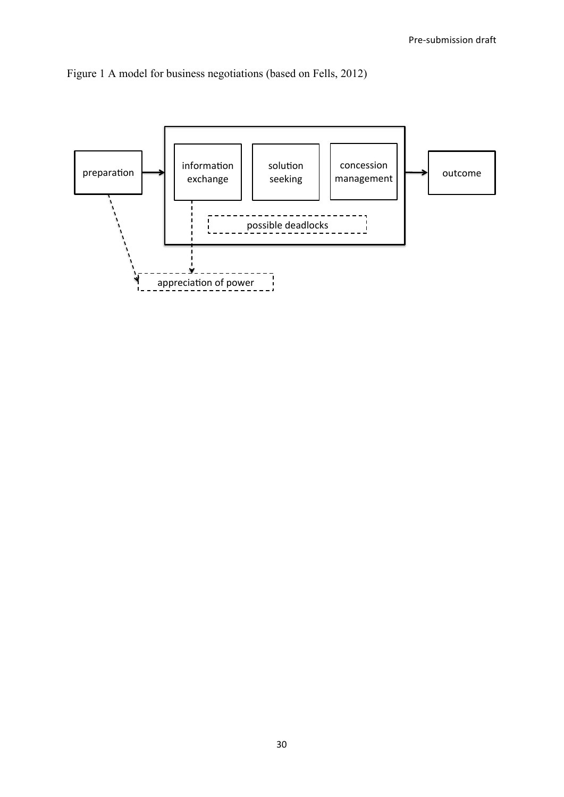

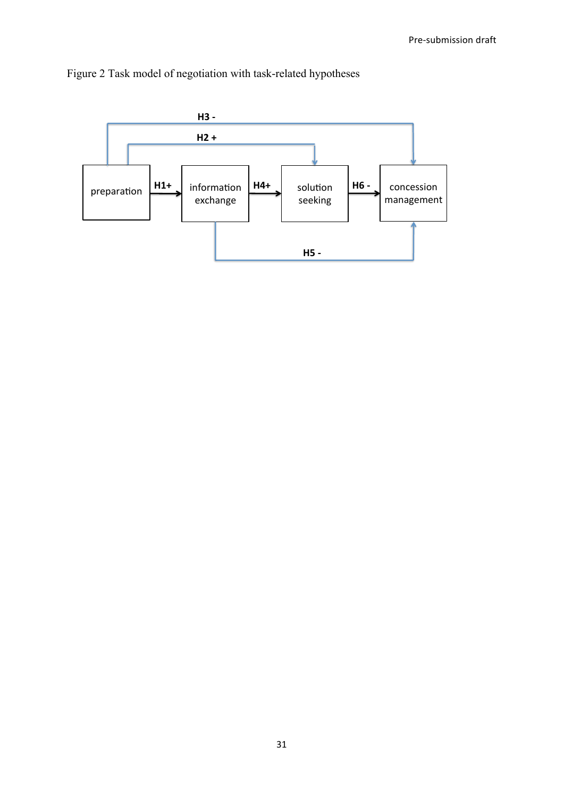

Figure 2 Task model of negotiation with task-related hypotheses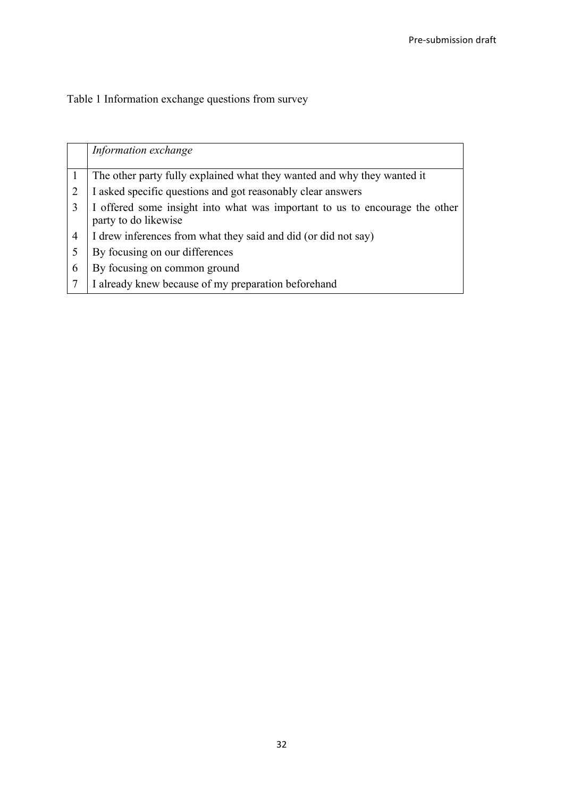Table 1 Information exchange questions from survey

|   | Information exchange                                                                                |
|---|-----------------------------------------------------------------------------------------------------|
|   | The other party fully explained what they wanted and why they wanted it                             |
|   | I asked specific questions and got reasonably clear answers                                         |
| 3 | I offered some insight into what was important to us to encourage the other<br>party to do likewise |
| 4 | I drew inferences from what they said and did (or did not say)                                      |
| 5 | By focusing on our differences                                                                      |
| 6 | By focusing on common ground                                                                        |
|   | I already knew because of my preparation beforehand                                                 |